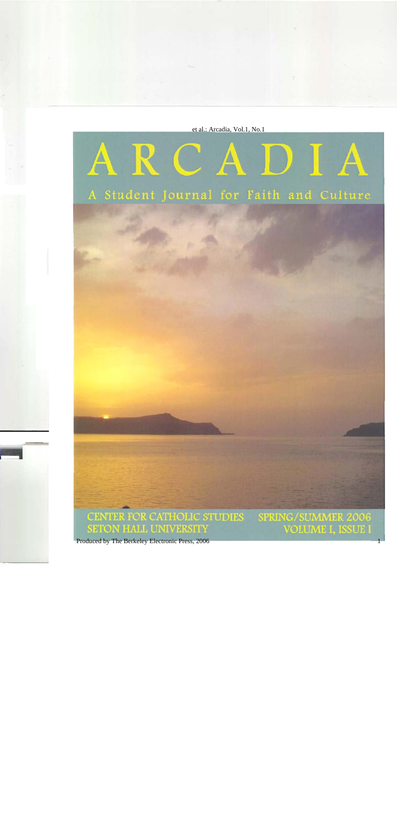et al.: Arcadia, Vol.1, No.1



1

Produced by The Berkeley Electronic Press, 2006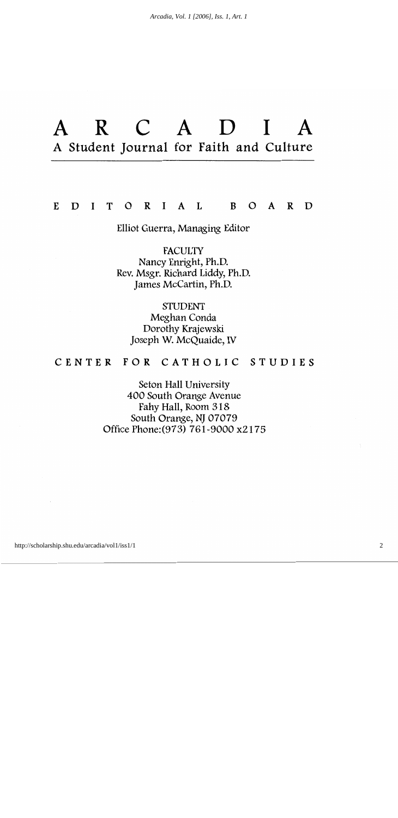#### $E$ D  $\mathbf{I}$ T O R I A L B O A R D

#### Elliot Guerra, Managing Editor

**FACULTY** Nancy Enright, Ph.D. Rev. Msgr. Richard Liddy, Ph.D. James McCartin, Ph.D.

**STUDENT** Meghan Conda Dorothy Krajewski Joseph W. McQuaide, IV

#### CENTER FOR CATHOLIC STUDIES

Seton Hall University 400 South Orange Avenue Fahy Hall, Room 318 South Orange, NJ 07079 Office Phone: (973) 761-9000 x2175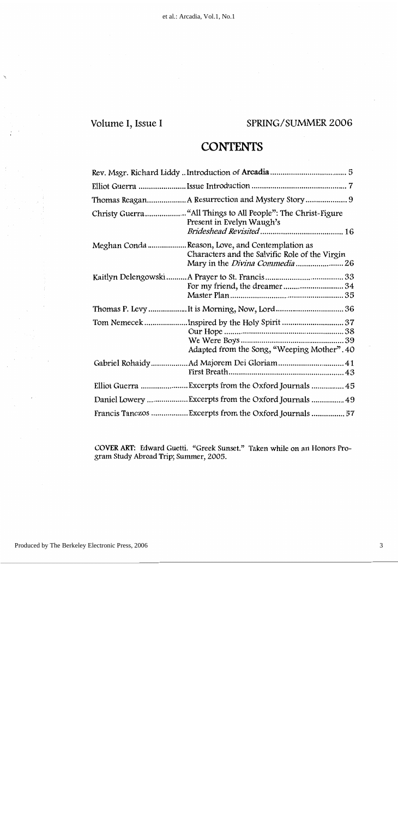# Volume I, Issue I

### SPRING/SUMMER 2006

# **CONTENTS**

| Present in Evelyn Waugh's                                                                         |  |
|---------------------------------------------------------------------------------------------------|--|
| Meghan Conda Reason, Love, and Contemplation as<br>Characters and the Salvific Role of the Virgin |  |
|                                                                                                   |  |
|                                                                                                   |  |
| Tom Nemecek Inspired by the Holy Spirit 37<br>Adapted from the Song, "Weeping Mother". 40         |  |
| Gabriel Rohaidy Ad Majorem Dei Gloriam  41                                                        |  |
|                                                                                                   |  |
| Daniel Lowery  Excerpts from the Oxford Journals  49                                              |  |
| Francis Tanczos Excerpts from the Oxford Journals  57                                             |  |

COVER ART: Edward Guetti. "Greek Sunset." Taken while on an Honors Program Study Abroad Trip; Summer, 2005.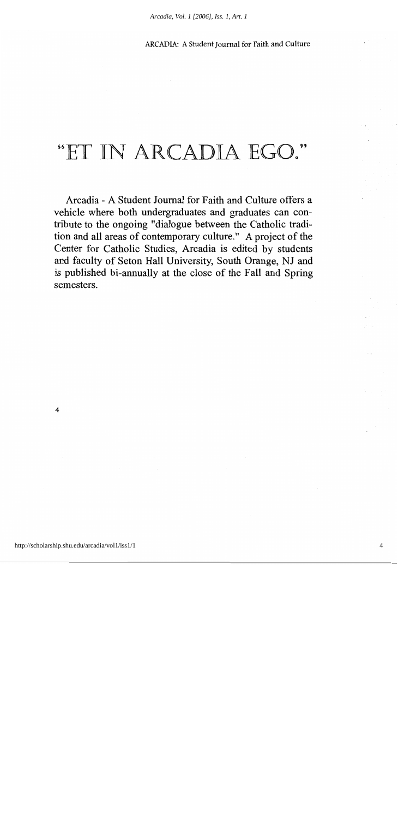# "ET IN ARCADIA EGO."

Arcadia - A Student Journal for Faith and Culture offers a vehicle where both undergraduates and graduates can contribute to the ongoing "dialogue between the Catholic tradition and all areas of contemporary culture." A project of the Center for Catholic Studies, Arcadia is edited by students and faculty of Seton Hall University, South Orange, NJ and is published bi-annually at the close of the Fall and Spring semesters.

 $\overline{4}$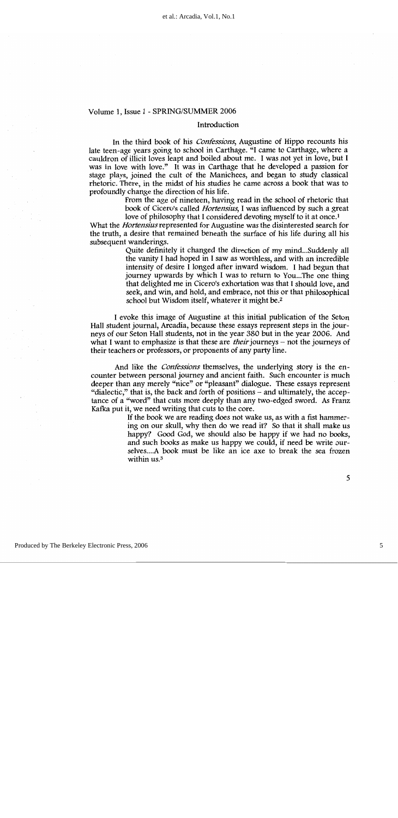#### Introduction

In the third book of his *Confessions*, Augustine of Hippo recounts his late teen-age years going to school in Carthage. "I came to Carthage, where a cauldron of illicit loves leapt and boiled about me. I was not yet in love, but I was in love with love." It was in Carthage that he developed a passion for stage plays, joined the cult of the Manichees, and began to study classical rhetoric. There, in the midst of his studies he came across a book that was to profoundly change the direction of his life.

> From the age of nineteen, having read in the school of rhetoric that book of Cicero's called *Hortensius*, I was influenced by such a great love of philosophy that I considered devoting myself to it at once.<sup>1</sup>

What the *Hortensius* represented for Augustine was the disinterested search for the truth, a desire that remained beneath the surface of his life during all his subsequent wanderings.

> Quite definitely it changed the direction of my mind...Suddenly all the vanity I had hoped in I saw as worthless, and with an incredible intensity of desire I longed after inward wisdom. I had begun that journey upwards by which I was to return to You...The one thing that delighted me in Cicero's exhortation was that I should love, and seek, and win, and hold, and embrace, not this or that philosophical school but Wisdom itself, whatever it might be.<sup>2</sup>

I evoke this image of Augustine at this initial publication of the Seton Hall student journal, Arcadia, because these essays represent steps in the journeys of our Seton Hall students, not in the year 380 but in the year 2006. And what I want to emphasize is that these are *their* journeys – not the journeys of their teachers or professors, or proponents of any party line.

And like the *Confessions* themselves, the underlying story is the encounter between personal journey and ancient faith. Such encounter is much deeper than any merely "nice" or "pleasant" dialogue. These essays represent "dialectic," that is, the back and forth of positions – and ultimately, the acceptance of a "word" that cuts more deeply than any two-edged sword. As Franz Kafka put it, we need writing that cuts to the core.

> If the book we are reading does not wake us, as with a fist hammering on our skull, why then do we read it? So that it shall make us happy? Good God, we should also be happy if we had no books, and such books as make us happy we could, if need be write ourselves....A book must be like an ice axe to break the sea frozen within us.<sup>3</sup>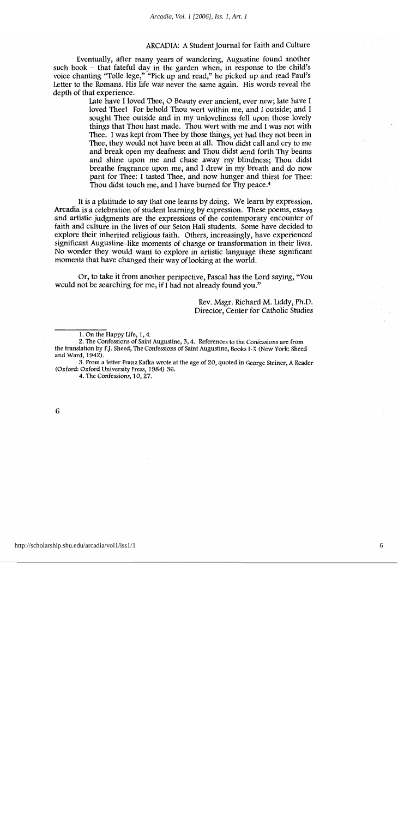Eventually, after many years of wandering, Augustine found another such book - that fateful day in the garden when, in response to the child's voice chanting "Tolle lege," "Pick up and read," he picked up and read Paul's Letter to the Romans. His life was never the same again. His words reveal the depth of that experience.

> Late have I loved Thee, O Beauty ever ancient, ever new; late have I loved Thee! For behold Thou wert within me, and I outside; and I sought Thee outside and in my unloveliness fell upon those lovely things that Thou hast made. Thou wert with me and I was not with Thee. I was kept from Thee by those things, yet had they not been in Thee, they would not have been at all. Thou didst call and cry to me and break open my deafness: and Thou didst send forth Thy beams and shine upon me and chase away my blindness; Thou didst breathe fragrance upon me, and I drew in my breath and do now pant for Thee: I tasted Thee, and now hunger and thirst for Thee: Thou didst touch me, and I have burned for Thy peace.<sup>4</sup>

It is a platitude to say that one learns by doing. We learn by expression. Arcadia is a celebration of student learning by expression. These poems, essays and artistic judgments are the expressions of the contemporary encounter of faith and culture in the lives of our Seton Hall students. Some have decided to explore their inherited religious faith. Others, increasingly, have experienced significant Augustine-like moments of change or transformation in their lives. No wonder they would want to explore in artistic language these significant moments that have changed their way of looking at the world.

Or, to take it from another perspective, Pascal has the Lord saying, "You would not be searching for me, if I had not already found you."

> Rev. Msgr. Richard M. Liddy, Ph.D. Director, Center for Catholic Studies

4. The Confessions, 10, 27.

<sup>1.</sup> On the Happy Life, 1, 4.

<sup>2.</sup> The Confessions of Saint Augustine, 3, 4. References to the Confessions are from the translation by F.J. Sheed, The Confessions of Saint Augustine, Books I-X (New York: Sheed and Ward, 1942).

<sup>3.</sup> From a letter Franz Kafka wrote at the age of 20, quoted in George Steiner, A Reader (Oxford: Oxford University Press, 1984) 36.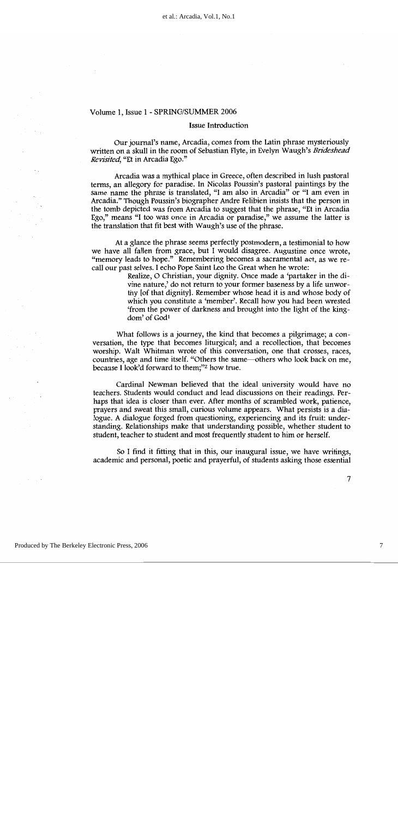#### **Issue Introduction**

Our journal's name, Arcadia, comes from the Latin phrase mysteriously written on a skull in the room of Sebastian Flyte, in Evelyn Waugh's Brideshead Revisited, "Et in Arcadia Ego."

Arcadia was a mythical place in Greece, often described in lush pastoral terms, an allegory for paradise. In Nicolas Poussin's pastoral paintings by the same name the phrase is translated, "I am also in Arcadia" or "I am even in Arcadia." Though Poussin's biographer Andre Felibien insists that the person in the tomb depicted was from Arcadia to suggest that the phrase, "Et in Arcadia" Ego," means "I too was once in Arcadia or paradise," we assume the latter is the translation that fit best with Waugh's use of the phrase.

At a glance the phrase seems perfectly postmodern, a testimonial to how we have all fallen from grace, but I would disagree. Augustine once wrote, "memory leads to hope." Remembering becomes a sacramental act, as we recall our past selves. I echo Pope Saint Leo the Great when he wrote:

> Realize, O Christian, your dignity. Once made a 'partaker in the divine nature,' do not return to your former baseness by a life unworthy lof that dignity. Remember whose head it is and whose body of which you constitute a 'member'. Recall how you had been wrested 'from the power of darkness and brought into the light of the kingdom' of God<sup>1</sup>

What follows is a journey, the kind that becomes a pilgrimage; a conversation, the type that becomes liturgical; and a recollection, that becomes worship. Walt Whitman wrote of this conversation, one that crosses, races, countries, age and time itself. "Others the same—others who look back on me, because I look'd forward to them;"<sup>2</sup> how true.

Cardinal Newman believed that the ideal university would have no teachers. Students would conduct and lead discussions on their readings. Perhaps that idea is closer than ever. After months of scrambled work, patience, prayers and sweat this small, curious volume appears. What persists is a dialogue. A dialogue forged from questioning, experiencing and its fruit: understanding. Relationships make that understanding possible, whether student to student, teacher to student and most frequently student to him or herself.

So I find it fitting that in this, our inaugural issue, we have writings, academic and personal, poetic and prayerful, of students asking those essential

 $\overline{7}$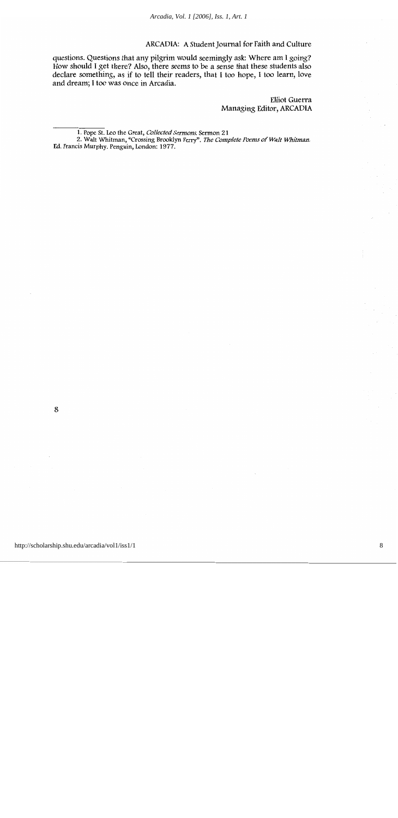questions. Questions that any pilgrim would seemingly ask: Where am I going? How should I get there? Also, there seems to be a sense that these students also declare something, as if to tell their readers, that I too hope, I too learn, love and dream; I too was once in Arcadia.

> **Elliot Guerra** Managing Editor, ARCADIA

<sup>1.</sup> Pope St. Leo the Great, Collected Sermons. Sermon 21

<sup>2.</sup> Walt Whitman, "Crossing Brooklyn Ferry". The Complete Poems of Walt Whitman. Ed. Francis Murphy. Penguin, London: 1977.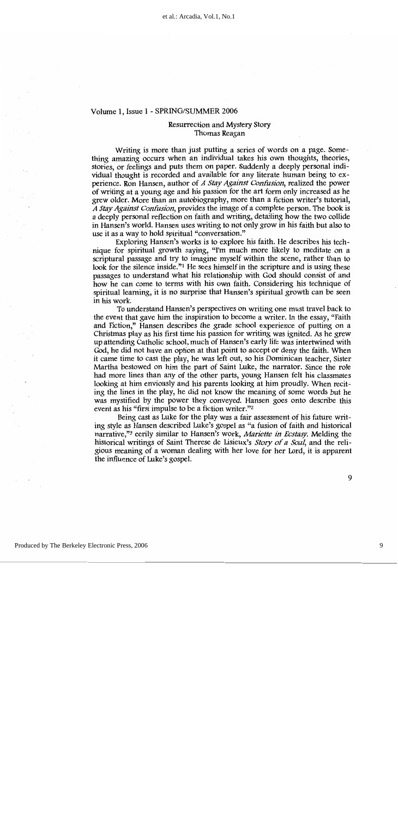#### Resurrection and Mystery Story Thomas Reagan

Writing is more than just putting a series of words on a page. Something amazing occurs when an individual takes his own thoughts, theories, stories, or feelings and puts them on paper. Suddenly a deeply personal individual thought is recorded and available for any literate human being to experience. Ron Hansen, author of A Stay Against Confusion, realized the power of writing at a young age and his passion for the art form only increased as he grew older. More than an autobiography, more than a fiction writer's tutorial, A Stay Against Confusion, provides the image of a complete person. The book is a deeply personal reflection on faith and writing, detailing how the two collide in Hansen's world. Hansen uses writing to not only grow in his faith but also to use it as a way to hold spiritual "conversation."

Exploring Hansen's works is to explore his faith. He describes his technique for spiritual growth saying, "I'm much more likely to meditate on a scriptural passage and try to imagine myself within the scene, rather than to look for the silence inside."<sup>1</sup> He sees himself in the scripture and is using these passages to understand what his relationship with God should consist of and how he can come to terms with his own faith. Considering his technique of spiritual learning, it is no surprise that Hansen's spiritual growth can be seen in his work.

To understand Hansen's perspectives on writing one must travel back to the event that gave him the inspiration to become a writer. In the essay, "Faith" and Fiction," Hansen describes the grade school experience of putting on a Christmas play as his first time his passion for writing was ignited. As he grew up attending Catholic school, much of Hansen's early life was intertwined with God, he did not have an option at that point to accept or deny the faith. When it came time to cast the play, he was left out, so his Dominican teacher, Sister Martha bestowed on him the part of Saint Luke, the narrator. Since the role had more lines than any of the other parts, young Hansen felt his classmates looking at him enviously and his parents looking at him proudly. When reciting the lines in the play, he did not know the meaning of some words but he was mystified by the power they conveyed. Hansen goes onto describe this event as his "first impulse to be a fiction writer."<sup>2</sup>

Being cast as Luke for the play was a fair assessment of his future writing style as Hansen described Luke's gospel as "a fusion of faith and historical narrative,"<sup>3</sup> eerily similar to Hansen's work, *Mariette in Ecstasy*. Melding the historical writings of Saint Therese de Lisieux's *Story of a Soul*, and the religious meaning of a woman dealing with her love for her Lord, it is apparent the influence of Luke's gospel.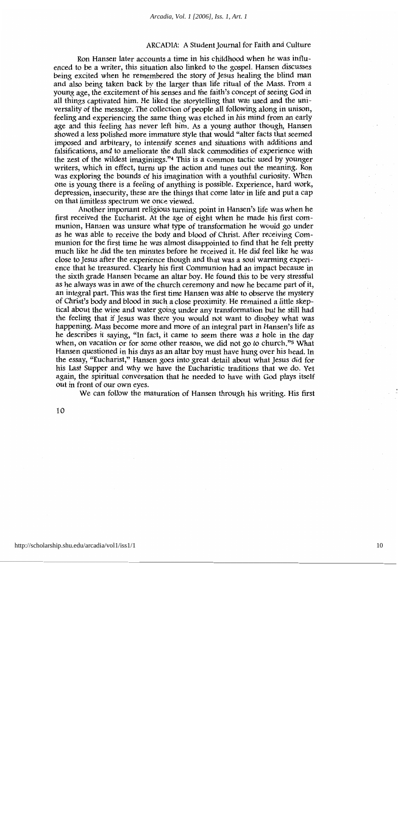Ron Hansen later accounts a time in his childhood when he was influenced to be a writer, this situation also linked to the gospel. Hansen discusses being excited when he remembered the story of Jesus healing the blind man and also being taken back by the larger than life ritual of the Mass. From a young age, the excitement of his senses and the faith's concept of seeing God in all things captivated him. He liked the storytelling that was used and the universality of the message. The collection of people all following along in unison, feeling and experiencing the same thing was etched in his mind from an early age and this feeling has never left him. As a young author though, Hansen showed a less polished more immature style that would "alter facts that seemed" imposed and arbitrary, to intensify scenes and situations with additions and falsifications, and to ameliorate the dull slack commodities of experience with the zest of the wildest imaginings."<sup>4</sup> This is a common tactic used by younger writers, which in effect, turns up the action and tunes out the meaning. Ron was exploring the bounds of his imagination with a youthful curiosity. When one is young there is a feeling of anything is possible. Experience, hard work, depression, insecurity, these are the things that come later in life and put a cap on that limitless spectrum we once viewed.

Another important religious turning point in Hansen's life was when he first received the Eucharist. At the age of eight when he made his first communion, Hansen was unsure what type of transformation he would go under as he was able to receive the body and blood of Christ. After receiving Communion for the first time he was almost disappointed to find that he felt pretty much like he did the ten minutes before he received it. He did feel like he was close to Jesus after the experience though and that was a soul warming experience that he treasured. Clearly his first Communion had an impact because in the sixth grade Hansen became an altar boy. He found this to be very stressful as he always was in awe of the church ceremony and now he became part of it, an integral part. This was the first time Hansen was able to observe the mystery of Christ's body and blood in such a close proximity. He remained a little skeptical about the wine and water going under any transformation but he still had the feeling that if Jesus was there you would not want to disobey what was happening. Mass become more and more of an integral part in Hansen's life as he describes it saying, "In fact, it came to seem there was a hole in the day when, on vacation or for some other reason, we did not go to church."<sup>5</sup> What Hansen questioned in his days as an altar boy must have hung over his head. In the essay, "Eucharist," Hansen goes into great detail about what Jesus did for his Last Supper and why we have the Eucharistic traditions that we do. Yet again, the spiritual conversation that he needed to have with God plays itself out in front of our own eves.

We can follow the maturation of Hansen through his writing. His first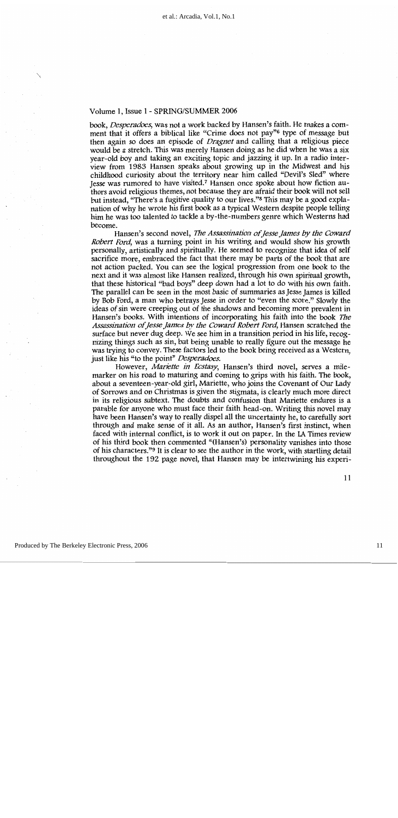book, Desperadoes, was not a work backed by Hansen's faith. He makes a comment that it offers a biblical like "Crime does not pay"<sup>6</sup> type of message but then again so does an episode of *Dragnet* and calling that a religious piece would be a stretch. This was merely Hansen doing as he did when he was a six year-old boy and taking an exciting topic and jazzing it up. In a radio interview from 1983 Hansen speaks about growing up in the Midwest and his childhood curiosity about the territory near him called "Devil's Sled" where lesse was rumored to have visited.<sup>7</sup> Hansen once spoke about how fiction authors avoid religious themes, not because they are afraid their book will not sell but instead, "There's a fugitive quality to our lives."<sup>8</sup> This may be a good explanation of why he wrote his first book as a typical Western despite people telling him he was too talented to tackle a by-the-numbers genre which Westerns had become.

Hansen's second novel, The Assassination of Jesse James by the Coward Robert Ford, was a turning point in his writing and would show his growth personally, artistically and spiritually. He seemed to recognize that idea of self sacrifice more, embraced the fact that there may be parts of the book that are not action packed. You can see the logical progression from one book to the next and it was almost like Hansen realized, through his own spiritual growth, that these historical "bad boys" deep down had a lot to do with his own faith. The parallel can be seen in the most basic of summaries as Jesse James is killed by Bob Ford, a man who betrays Jesse in order to "even the score." Slowly the ideas of sin were creeping out of the shadows and becoming more prevalent in Hansen's books. With intentions of incorporating his faith into the book The Assassination of Jesse James by the Coward Robert Ford, Hansen scratched the surface but never dug deep. We see him in a transition period in his life, recognizing things such as sin, but being unable to really figure out the message he was trying to convey. These factors led to the book being received as a Western, just like his "to the point" Desperadoes.

However, Mariette in Ecstasy, Hansen's third novel, serves a milemarker on his road to maturing and coming to grips with his faith. The book, about a seventeen-year-old girl, Mariette, who joins the Covenant of Our Lady of Sorrows and on Christmas is given the stigmata, is clearly much more direct in its religious subtext. The doubts and confusion that Mariette endures is a parable for anyone who must face their faith head-on. Writing this novel may have been Hansen's way to really dispel all the uncertainty he, to carefully sort through and make sense of it all. As an author, Hansen's first instinct, when faced with internal conflict, is to work it out on paper. In the LA Times review of his third book then commented "(Hansen's) personality vanishes into those of his characters."<sup>9</sup> It is clear to see the author in the work, with startling detail throughout the 192 page novel, that Hansen may be intertwining his experi-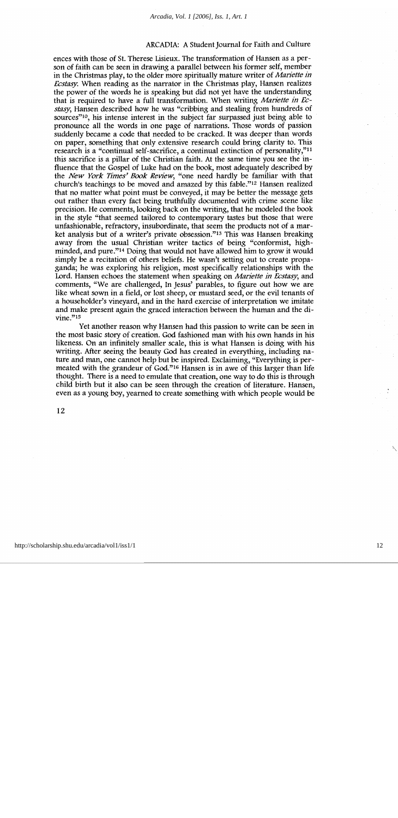ences with those of St. Therese Lisieux. The transformation of Hansen as a person of faith can be seen in drawing a parallel between his former self, member in the Christmas play, to the older more spiritually mature writer of *Mariette in Ecstasy*. When reading as the narrator in the Christmas play, Hansen realizes the power of the words he is speaking but did not yet have the understanding that is required to have a full transformation. When writing *Mariette in Ec*stasy, Hansen described how he was "cribbing and stealing from hundreds of sources"<sup>10</sup>, his intense interest in the subject far surpassed just being able to pronounce all the words in one page of narrations. Those words of passion suddenly became a code that needed to be cracked. It was deeper than words on paper, something that only extensive research could bring clarity to. This research is a "continual self-sacrifice, a continual extinction of personality,"<sup>11</sup> this sacrifice is a pillar of the Christian faith. At the same time you see the influence that the Gospel of Luke had on the book, most adequately described by the New York Times' Book Review, "one need hardly be familiar with that church's teachings to be moved and amazed by this fable."<sup>12</sup> Hansen realized that no matter what point must be conveyed, it may be better the message gets out rather than every fact being truthfully documented with crime scene like precision. He comments, looking back on the writing, that he modeled the book in the style "that seemed tailored to contemporary tastes but those that were unfashionable, refractory, insubordinate, that seem the products not of a market analysis but of a writer's private obsession."<sup>13</sup> This was Hansen breaking away from the usual Christian writer tactics of being "conformist, highminded, and pure."<sup>14</sup> Doing that would not have allowed him to grow it would simply be a recitation of others beliefs. He wasn't setting out to create propaganda; he was exploring his religion, most specifically relationships with the Lord. Hansen echoes the statement when speaking on *Mariette in Ecstasy*, and comments, "We are challenged, In Jesus' parables, to figure out how we are like wheat sown in a field, or lost sheep, or mustard seed, or the evil tenants of a householder's vineyard, and in the hard exercise of interpretation we imitate and make present again the graced interaction between the human and the divine."15

Yet another reason why Hansen had this passion to write can be seen in the most basic story of creation. God fashioned man with his own hands in his likeness. On an infinitely smaller scale, this is what Hansen is doing with his writing. After seeing the beauty God has created in everything, including nature and man, one cannot help but be inspired. Exclaiming, "Everything is permeated with the grandeur of God."<sup>16</sup> Hansen is in awe of this larger than life thought. There is a need to emulate that creation, one way to do this is through child birth but it also can be seen through the creation of literature. Hansen, even as a young boy, yearned to create something with which people would be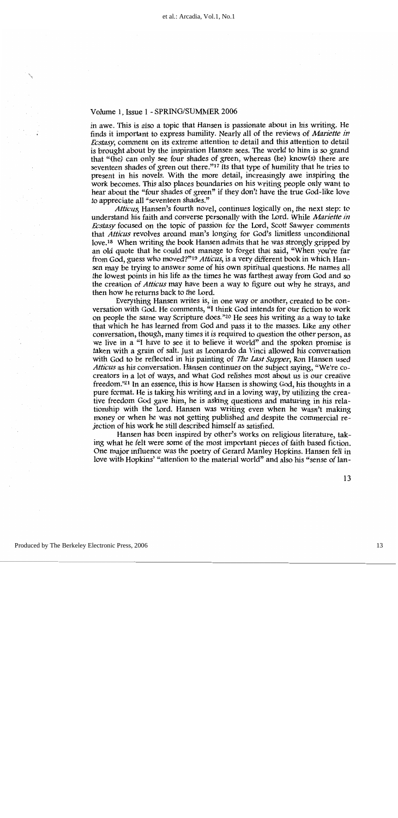in awe. This is also a topic that Hansen is passionate about in his writing. He finds it important to express humility. Nearly all of the reviews of Mariette in *Ecstasy*, comment on its extreme attention to detail and this attention to detail is brought about by the inspiration Hansen sees. The world to him is so grand that "(he) can only see four shades of green, whereas (he) know(s) there are seventeen shades of green out there."17 Its that type of humility that he tries to present in his novels. With the more detail, increasingly awe inspiring the work becomes. This also places boundaries on his writing people only want to hear about the "four shades of green" if they don't have the true God-like love to appreciate all "seventeen shades."

Atticus, Hansen's fourth novel, continues logically on, the next step: to understand his faith and converse personally with the Lord. While Mariette in Ecstasy focused on the topic of passion for the Lord, Scott Sawyer comments that *Atticus* revolves around man's longing for God's limitless unconditional love.<sup>18</sup> When writing the book Hansen admits that he was strongly gripped by an old quote that he could not manage to forget that said, "When you're far from God, guess who moved?"<sup>19</sup> Atticus, is a very different book in which Hansen may be trying to answer some of his own spiritual questions. He names all the lowest points in his life as the times he was farthest away from God and so the creation of *Atticus* may have been a way to figure out why he strays, and then how he returns back to the Lord.

Everything Hansen writes is, in one way or another, created to be conversation with God. He comments, "I think God intends for our fiction to work on people the same way Scripture does."<sup>20</sup> He sees his writing as a way to take that which he has learned from God and pass it to the masses. Like any other conversation, though, many times it is required to question the other person, as we live in a "I have to see it to believe it world" and the spoken promise is taken with a grain of salt. Just as Leonardo da Vinci allowed his conversation with God to be reflected in his painting of The Last Supper, Ron Hansen used Atticus as his conversation. Hansen continues on the subject saying, "We're cocreators in a lot of ways, and what God relishes most about us is our creative freedom."<sup>21</sup> In an essence, this is how Hansen is showing God, his thoughts in a pure format. He is taking his writing and in a loving way, by utilizing the creative freedom God gave him, he is asking questions and maturing in his relationship with the Lord. Hansen was writing even when he wasn't making money or when he was not getting published and despite the commercial rejection of his work he still described himself as satisfied.

Hansen has been inspired by other's works on religious literature, taking what he felt were some of the most important pieces of faith based fiction. One major influence was the poetry of Gerard Manley Hopkins. Hansen fell in love with Hopkins' "attention to the material world" and also his "sense of lan-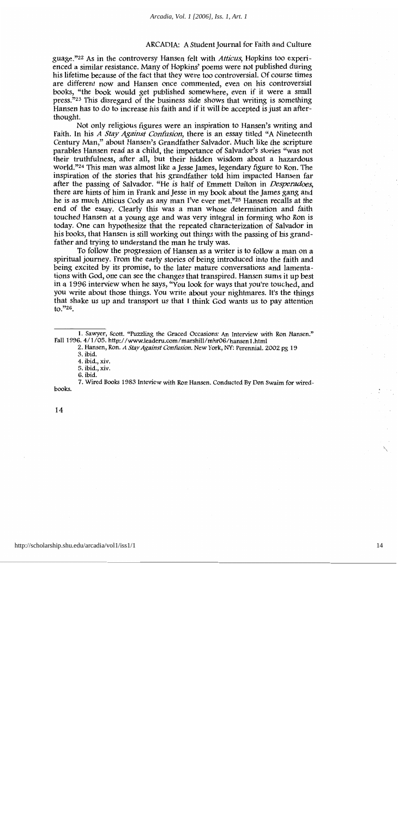guage."<sup>22</sup> As in the controversy Hansen felt with *Atticus*, Hopkins too experienced a similar resistance. Many of Hopkins' poems were not published during his lifetime because of the fact that they were too controversial. Of course times are different now and Hansen once commented, even on his controversial books, "the book would get published somewhere, even if it were a small press.<sup> $723$ </sup> This disregard of the business side shows that writing is something Hansen has to do to increase his faith and if it will be accepted is just an afterthought.

Not only religious figures were an inspiration to Hansen's writing and Faith. In his A Stay Against Confusion, there is an essay titled "A Nineteenth" Century Man," about Hansen's Grandfather Salvador. Much like the scripture parables Hansen read as a child, the importance of Salvador's stories "was not their truthfulness, after all, but their hidden wisdom about a hazardous world.<sup>724</sup> This man was almost like a Jesse James, legendary figure to Ron. The inspiration of the stories that his grandfather told him impacted Hansen far after the passing of Salvador. "He is half of Emmett Dalton in Desperadoes, there are hints of him in Frank and Jesse in my book about the James gang and he is as much Atticus Cody as any man I've ever met."25 Hansen recalls at the end of the essay. Clearly this was a man whose determination and faith touched Hansen at a young age and was very integral in forming who Ron is today. One can hypothesize that the repeated characterization of Salvador in his books, that Hansen is still working out things with the passing of his grandfather and trying to understand the man he truly was.

To follow the progression of Hansen as a writer is to follow a man on a spiritual journey. From the early stories of being introduced into the faith and being excited by its promise, to the later mature conversations and lamentations with God, one can see the changes that transpired. Hansen sums it up best in a 1996 interview when he says, "You look for ways that you're touched, and you write about those things. You write about your nightmares. It's the things that shake us up and transport us that I think God wants us to pay attention  $\mu$ .  $\frac{1}{26}$ .

<sup>1.</sup> Sawyer, Scott. "Puzzling the Graced Occasions: An Interview with Ron Hansen." Fall 1996. 4/1/05. http://www.leaderu.com/marshill/mhr06/hansen1.html

<sup>2.</sup> Hansen, Ron. A Stay Against Confusion. New York, NY: Perennial. 2002 pg 19

<sup>3.</sup> ibid.

<sup>4.</sup> ibid., xiv.

<sup>5.</sup> ibid., xiv.

<sup>6.</sup> ibid.

<sup>7.</sup> Wired Books 1983 Inteview with Ron Hansen. Conducted By Don Swaim for wiredbooks.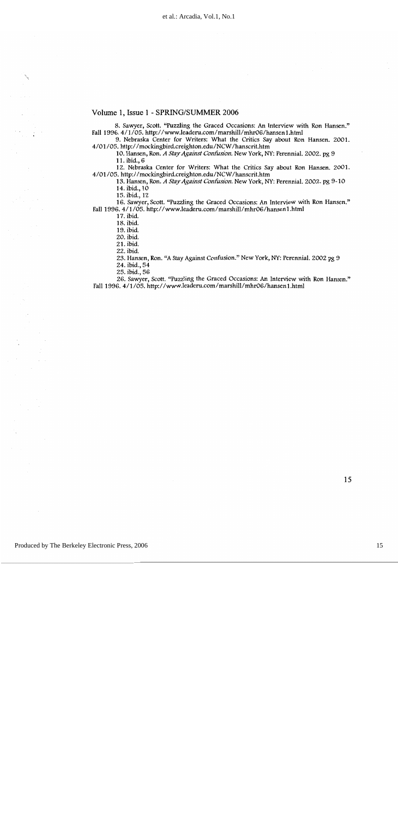8. Sawyer, Scott. "Puzzling the Graced Occasions: An Interview with Ron Hansen." Fall 1996. 4/1/05. http://www.leaderu.com/marshill/mhr06/hansen1.html

9. Nebraska Center for Writers: What the Critics Say about Ron Hansen. 2001. 4/01/05. http://mockingbird.creighton.edu/NCW/hanscrit.htm

10. Hansen, Ron. A Stay Against Confusion. New York, NY: Perennial. 2002. pg 9 11. ibid., 6

12. Nebraska Center for Writers: What the Critics Say about Ron Hansen. 2001. 4/01/05. http://mockingbird.creighton.edu/NCW/hanscrit.htm

13. Hansen, Ron. A Stay Against Confusion. New York, NY: Perennial. 2002. pg 9-10 14. ibid., 10

15. ibid., 12

16. Sawyer, Scott. "Puzzling the Graced Occasions: An Interview with Ron Hansen." Fall 1996. 4/1/05. http://www.leaderu.com/marshill/mhr06/hansen1.html

17. ibid.

18. ibid.

19. ibid.

20. ibid.

21. ibid.

22. ibid.

23. Hansen, Ron. "A Stay Against Confusion." New York, NY: Perennial. 2002 pg 9

24. ibid., 54

25. ibid., 56

26. Sawyer, Scott. "Puzzling the Graced Occasions: An Interview with Ron Hansen." Fall 1996. 4/1/05. http://www.leaderu.com/marshill/mhr06/hansen1.html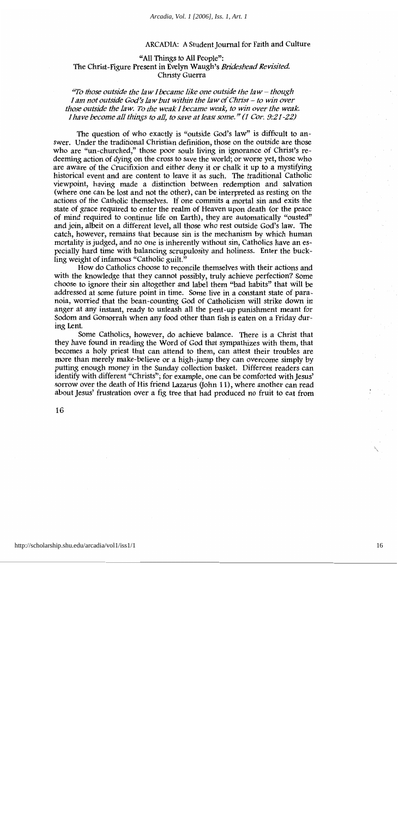#### "All Things to All People": The Christ-Figure Present in Evelyn Waugh's Brideshead Revisited. Christy Guerra

"To those outside the law I became like one outside the law  $-$  though I am not outside God's law but within the law of Christ - to win over those outside the law. To the weak I became weak, to win over the weak. I have become all things to all, to save at least some." (1 Cor. 9:21-22)

The question of who exactly is "outside God's law" is difficult to answer. Under the traditional Christian definition, those on the outside are those who are "un-churched," those poor souls living in ignorance of Christ's redeeming action of dying on the cross to save the world; or worse yet, those who are aware of the Crucifixion and either deny it or chalk it up to a mystifying historical event and are content to leave it as such. The traditional Catholic viewpoint, having made a distinction between redemption and salvation (where one can be lost and not the other), can be interpreted as resting on the actions of the Catholic themselves. If one commits a mortal sin and exits the state of grace required to enter the realm of Heaven upon death (or the peace of mind required to continue life on Earth), they are automatically "ousted" and join, albeit on a different level, all those who rest outside God's law. The catch, however, remains that because sin is the mechanism by which human mortality is judged, and no one is inherently without sin, Catholics have an especially hard time with balancing scrupulosity and holiness. Enter the buckling weight of infamous "Catholic guilt."

How do Catholics choose to reconcile themselves with their actions and with the knowledge that they cannot possibly, truly achieve perfection? Some choose to ignore their sin altogether and label them "bad habits" that will be addressed at some future point in time. Some live in a constant state of paranoia, worried that the bean-counting God of Catholicism will strike down in anger at any instant, ready to unleash all the pent-up punishment meant for Sodom and Gomorrah when any food other than fish is eaten on a Friday during Lent.

Some Catholics, however, do achieve balance. There is a Christ that they have found in reading the Word of God that sympathizes with them, that becomes a holy priest that can attend to them, can attest their troubles are more than merely make-believe or a high-jump they can overcome simply by putting enough money in the Sunday collection basket. Different readers can identify with different "Christs"; for example, one can be comforted with Jesus' sorrow over the death of His friend Lazarus (John 11), where another can read about Jesus' frustration over a fig tree that had produced no fruit to eat from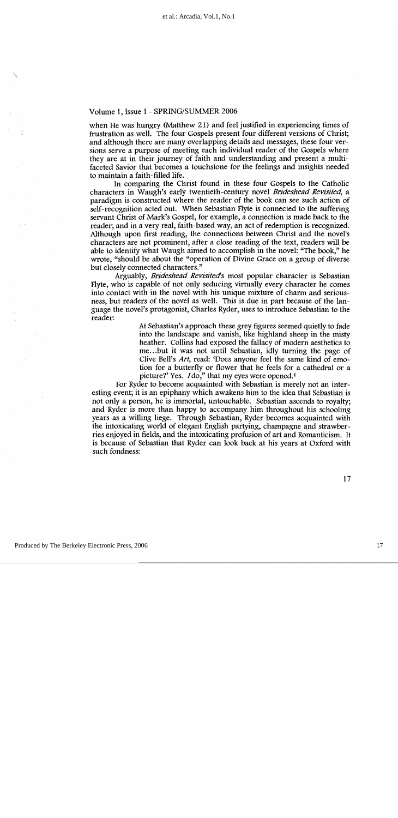when He was hungry (Matthew 21) and feel justified in experiencing times of frustration as well. The four Gospels present four different versions of Christ; and although there are many overlapping details and messages, these four versions serve a purpose of meeting each individual reader of the Gospels where they are at in their journey of faith and understanding and present a multifaceted Savior that becomes a touchstone for the feelings and insights needed to maintain a faith-filled life.

In comparing the Christ found in these four Gospels to the Catholic characters in Waugh's early twentieth-century novel Brideshead Revisited, a paradigm is constructed where the reader of the book can see such action of self-recognition acted out. When Sebastian Flyte is connected to the suffering servant Christ of Mark's Gospel, for example, a connection is made back to the reader; and in a very real, faith-based way, an act of redemption is recognized. Although upon first reading, the connections between Christ and the novel's characters are not prominent, after a close reading of the text, readers will be able to identify what Waugh aimed to accomplish in the novel: "The book," he wrote, "should be about the "operation of Divine Grace on a group of diverse but closely connected characters."

Arguably, Brideshead Revisited's most popular character is Sebastian Flyte, who is capable of not only seducing virtually every character he comes into contact with in the novel with his unique mixture of charm and seriousness, but readers of the novel as well. This is due in part because of the language the novel's protagonist, Charles Ryder, uses to introduce Sebastian to the reader:

> At Sebastian's approach these grey figures seemed quietly to fade into the landscape and vanish, like highland sheep in the misty heather. Collins had exposed the fallacy of modern aesthetics to me...but it was not until Sebastian, idly turning the page of Clive Bell's Art, read: 'Does anyone feel the same kind of emotion for a butterfly or flower that he feels for a cathedral or a picture?' Yes. Ido," that my eyes were opened.<sup>1</sup>

For Ryder to become acquainted with Sebastian is merely not an interesting event; it is an epiphany which awakens him to the idea that Sebastian is not only a person, he is immortal, untouchable. Sebastian ascends to royalty; and Ryder is more than happy to accompany him throughout his schooling years as a willing liege. Through Sebastian, Ryder becomes acquainted with the intoxicating world of elegant English partying, champagne and strawberries enjoyed in fields, and the intoxicating profusion of art and Romanticism. It is because of Sebastian that Ryder can look back at his years at Oxford with such fondness: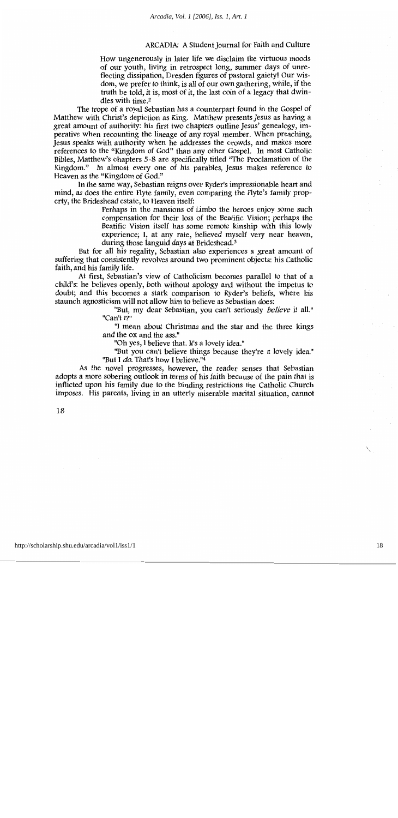How ungenerously in later life we disclaim the virtuous moods of our youth, living in retrospect long, summer days of unreflecting dissipation, Dresden figures of pastoral gaiety! Our wisdom, we prefer to think, is all of our own gathering, while, if the truth be told, it is, most of it, the last coin of a legacy that dwindles with time.<sup>2</sup>

The trope of a royal Sebastian has a counterpart found in the Gospel of Matthew with Christ's depiction as King. Matthew presents Jesus as having a great amount of authority: his first two chapters outline Jesus' genealogy, imperative when recounting the lineage of any royal member. When preaching, Jesus speaks with authority when he addresses the crowds, and makes more references to the "Kingdom of God" than any other Gospel. In most Catholic Bibles, Matthew's chapters 5-8 are specifically titled "The Proclamation of the Kingdom." In almost every one of his parables, Jesus makes reference to Heaven as the "Kingdom of God."

In the same way, Sebastian reigns over Ryder's impressionable heart and mind, as does the entire Flyte family, even comparing the Flyte's family property, the Brideshead estate, to Heaven itself:

> Perhaps in the mansions of Limbo the heroes enjoy some such compensation for their loss of the Beatific Vision; perhaps the Beatific Vision itself has some remote kinship with this lowly experience; I, at any rate, believed myself very near heaven, during those languid days at Brideshead.<sup>3</sup>

But for all his regality, Sebastian also experiences a great amount of suffering that consistently revolves around two prominent objects: his Catholic faith, and his family life.

At first, Sebastian's view of Catholicism becomes parallel to that of a child's: he believes openly, both without apology and without the impetus to doubt; and this becomes a stark comparison to Ryder's beliefs, where his staunch agnosticism will not allow him to believe as Sebastian does:

> "But, my dear Sebastian, you can't seriously *believe* it all." "Can't I?"

> "I mean about Christmas and the star and the three kings and the ox and the ass."

"Oh yes, I believe that. It's a lovely idea."

"But you can't believe things because they're a lovely idea." "But I *do*. That's how I believe."4

As the novel progresses, however, the reader senses that Sebastian adopts a more sobering outlook in terms of his faith because of the pain that is inflicted upon his family due to the binding restrictions the Catholic Church imposes. His parents, living in an utterly miserable marital situation, cannot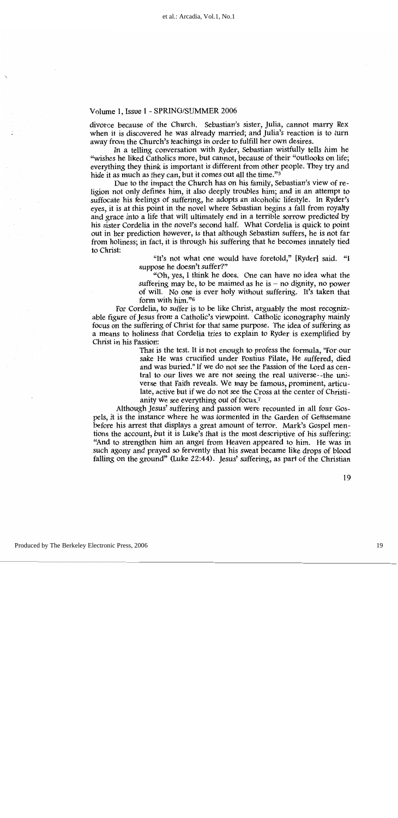divorce because of the Church. Sebastian's sister, Julia, cannot marry Rex when it is discovered he was already married; and Julia's reaction is to turn away from the Church's teachings in order to fulfill her own desires.

In a telling conversation with Ryder, Sebastian wistfully tells him he "wishes he liked Catholics more, but cannot, because of their "outlooks on life; everything they think is important is different from other people. They try and hide it as much as they can, but it comes out all the time."<sup>5</sup>

Due to the impact the Church has on his family, Sebastian's view of religion not only defines him, it also deeply troubles him; and in an attempt to suffocate his feelings of suffering, he adopts an alcoholic lifestyle. In Ryder's eyes, it is at this point in the novel where Sebastian begins a fall from royalty and grace into a life that will ultimately end in a terrible sorrow predicted by his sister Cordelia in the novel's second half. What Cordelia is quick to point out in her prediction however, is that although Sebastian suffers, he is not far from holiness; in fact, it is through his suffering that he becomes innately tied to Christ:

> "It's not what one would have foretold," [Ryder] said. "I suppose he doesn't suffer?"

> "Oh, yes, I think he does. One can have no idea what the suffering may be, to be maimed as he is  $-$  no dignity, no power of will. No one is ever holy without suffering. It's taken that form with him."6

For Cordelia, to suffer is to be like Christ, arguably the most recognizable figure of Jesus from a Catholic's viewpoint. Catholic iconography mainly focus on the suffering of Christ for that same purpose. The idea of suffering as a means to holiness that Cordelia tries to explain to Ryder is exemplified by Christ in his Passion:

> That is the test. It is not enough to profess the formula, "For our sake He was crucified under Pontius Pilate, He suffered, died and was buried." If we do not see the Passion of the Lord as central to our lives we are not seeing the real universe--the universe that Faith reveals. We may be famous, prominent, articulate, active but if we do not see the Cross at the center of Christianity we see everything out of focus.<sup>7</sup>

Although Jesus' suffering and passion were recounted in all four Gospels, it is the instance where he was tormented in the Garden of Gethsemane before his arrest that displays a great amount of terror. Mark's Gospel mentions the account, but it is Luke's that is the most descriptive of his suffering: "And to strengthen him an angel from Heaven appeared to him. He was in such agony and prayed so fervently that his sweat became like drops of blood falling on the ground" (Luke 22:44). Jesus' suffering, as part of the Christian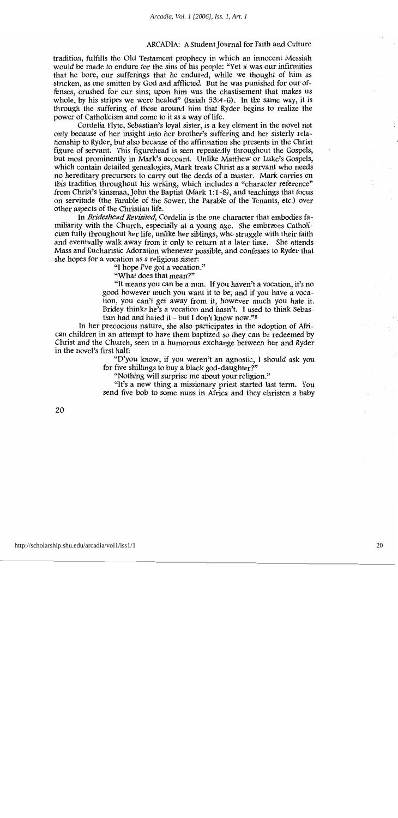tradition, fulfills the Old Testament prophecy in which an innocent Messiah would be made to endure for the sins of his people: "Yet it was our infirmities that he bore, our sufferings that he endured, while we thought of him as stricken, as one smitten by God and afflicted. But he was punished for our offenses, crushed for our sins; upon him was the chastisement that makes us whole, by his stripes we were healed" (Isaiah 53:4-6). In the same way, it is through the suffering of those around him that Ryder begins to realize the power of Catholicism and come to it as a way of life.

Cordelia Flyte, Sebastian's loval sister, is a key element in the novel not only because of her insight into her brother's suffering and her sisterly relationship to Ryder, but also because of the affirmation she presents in the Christ figure of servant. This figurehead is seen repeatedly throughout the Gospels, but most prominently in Mark's account. Unlike Matthew or Luke's Gospels, which contain detailed genealogies, Mark treats Christ as a servant who needs no hereditary precursors to carry out the deeds of a master. Mark carries on this tradition throughout his writing, which includes a "character reference" from Christ's kinsman, John the Baptist (Mark 1:1-8), and teachings that focus on servitude (the Parable of the Sower, the Parable of the Tenants, etc.) over other aspects of the Christian life.

In Brideshead Revisited, Cordelia is the one character that embodies familiarity with the Church, especially at a young age. She embraces Catholicism fully throughout her life, unlike her siblings, who struggle with their faith and eventually walk away from it only to return at a later time. She attends Mass and Eucharistic Adoration whenever possible, and confesses to Ryder that she hopes for a vocation as a religious sister:

"I hope I've got a vocation."

"What does that mean?"

"It means you can be a nun. If you haven't a vocation, it's no good however much you want it to be; and if you have a vocation, you can't get away from it, however much you hate it. Bridey thinks he's a vocation and hasn't. I used to think Sebastian had and hated it – but I don't know now." $8$ 

In her precocious nature, she also participates in the adoption of African children in an attempt to have them baptized so they can be redeemed by Christ and the Church, seen in a humorous exchange between her and Ryder in the novel's first half:

> "D'you know, if you weren't an agnostic, I should ask you for five shillings to buy a black god-daughter?"

"Nothing will surprise me about your religion."

"It's a new thing a missionary priest started last term. You send five bob to some nuns in Africa and they christen a baby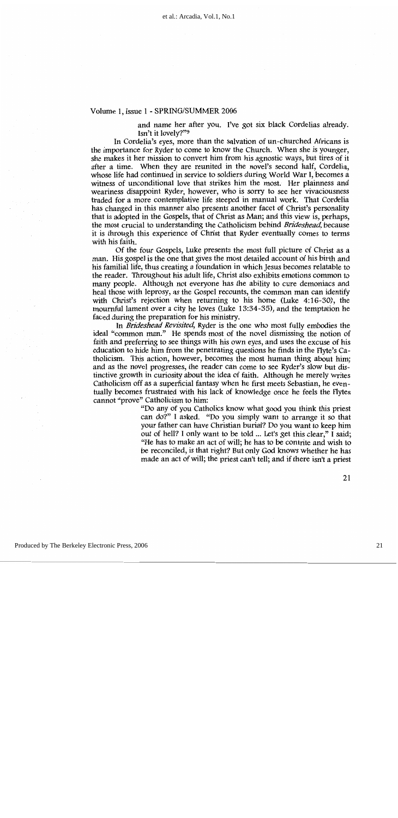and name her after you. I've got six black Cordelias already. Isn't it lovely?"<sup>9</sup>

In Cordelia's eyes, more than the salvation of un-churched Africans is the importance for Ryder to come to know the Church. When she is younger, she makes it her mission to convert him from his agnostic ways, but tires of it after a time. When they are reunited in the novel's second half. Cordelia. whose life had continued in service to soldiers during World War I, becomes a witness of unconditional love that strikes him the most. Her plainness and weariness disappoint Ryder, however, who is sorry to see her vivaciousness traded for a more contemplative life steeped in manual work. That Cordelia has changed in this manner also presents another facet of Christ's personality that is adopted in the Gospels, that of Christ as Man; and this view is, perhaps, the most crucial to understanding the Catholicism behind Brideshead, because it is through this experience of Christ that Ryder eventually comes to terms with his faith.

Of the four Gospels, Luke presents the most full picture of Christ as a man. His gospel is the one that gives the most detailed account of his birth and his familial life, thus creating a foundation in which Jesus becomes relatable to the reader. Throughout his adult life, Christ also exhibits emotions common to many people. Although not everyone has the ability to cure demoniacs and heal those with leprosy, as the Gospel recounts, the common man can identify with Christ's rejection when returning to his home (Luke 4:16-30), the mournful lament over a city he loves (Luke 13:34-35), and the temptation he faced during the preparation for his ministry.

In Brideshead Revisited, Ryder is the one who most fully embodies the ideal "common man." He spends most of the novel dismissing the notion of faith and preferring to see things with his own eyes, and uses the excuse of his education to hide him from the penetrating questions he finds in the Flyte's Catholicism. This action, however, becomes the most human thing about him; and as the novel progresses, the reader can come to see Ryder's slow but distinctive growth in curiosity about the idea of faith. Although he merely writes Catholicism off as a superficial fantasy when he first meets Sebastian, he eventually becomes frustrated with his lack of knowledge once he feels the Flytes cannot "prove" Catholicism to him:

> "Do any of you Catholics know what good you think this priest can do?" I asked. "Do you simply want to arrange it so that your father can have Christian burial? Do you want to keep him out of hell? I only want to be told ... Let's get this clear," I said; "He has to make an act of will; he has to be contrite and wish to be reconciled, is that right? But only God knows whether he has made an act of will; the priest can't tell; and if there isn't a priest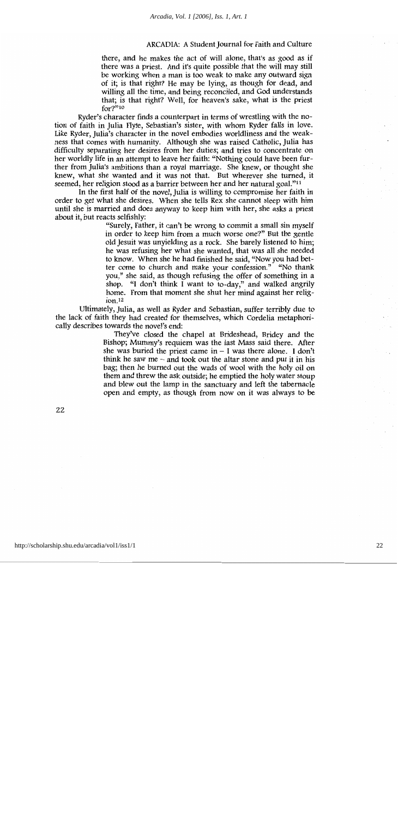there, and he makes the act of will alone, that's as good as if there was a priest. And it's quite possible that the will may still be working when a man is too weak to make any outward sign of it; is that right? He may be lying, as though for dead, and willing all the time, and being reconciled, and God understands that; is that right? Well, for heaven's sake, what is the priest  $for 2^{2,10}$ 

Ryder's character finds a counterpart in terms of wrestling with the notion of faith in Julia Flyte, Sebastian's sister, with whom Ryder falls in love. Like Ryder, Julia's character in the novel embodies worldliness and the weakness that comes with humanity. Although she was raised Catholic, Julia has difficulty separating her desires from her duties; and tries to concentrate on her worldly life in an attempt to leave her faith: "Nothing could have been further from Julia's ambitions than a royal marriage. She knew, or thought she knew, what she wanted and it was not that. But wherever she turned, it seemed, her religion stood as a barrier between her and her natural goal."<sup>11</sup>

In the first half of the novel, Julia is willing to compromise her faith in order to get what she desires. When she tells Rex she cannot sleep with him until she is married and does anyway to keep him with her, she asks a priest about it, but reacts selfishly:

> "Surely, Father, it can't be wrong to commit a small sin myself in order to keep him from a much worse one?" But the gentle old Jesuit was unyielding as a rock. She barely listened to him; he was refusing her what she wanted, that was all she needed to know. When she he had finished he said, "Now you had better come to church and make your confession." "No thank you," she said, as though refusing the offer of something in a shop. "I don't think I want to to-day," and walked angrily home. From that moment she shut her mind against her relig $ion<sub>12</sub>$

Ultimately, Julia, as well as Ryder and Sebastian, suffer terribly due to the lack of faith they had created for themselves, which Cordelia metaphorically describes towards the novel's end:

> They've closed the chapel at Brideshead, Bridey and the Bishop; Mummy's requiem was the last Mass said there. After she was buried the priest came in  $-$  I was there alone. I don't think he saw me  $-$  and took out the altar stone and put it in his bag; then he burned out the wads of wool with the holy oil on them and threw the ask outside; he emptied the holy water stoup and blew out the lamp in the sanctuary and left the tabernacle open and empty, as though from now on it was always to be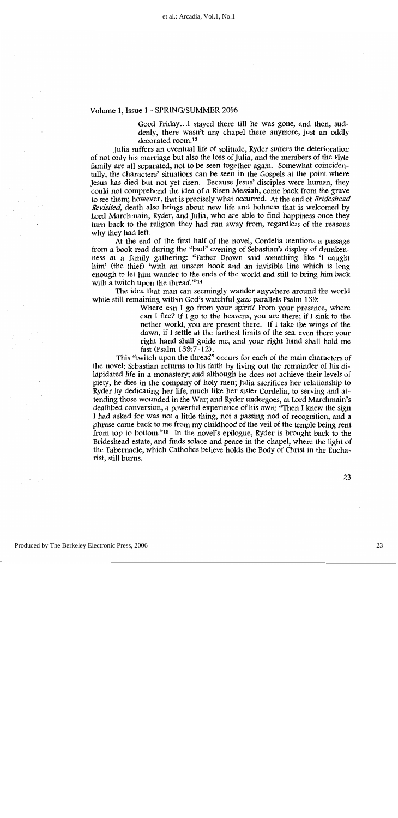Good Friday...I staved there till he was gone, and then, suddenly, there wasn't any chapel there anymore, just an oddly decorated room.<sup>13</sup>

Julia suffers an eventual life of solitude, Ryder suffers the deterioration of not only his marriage but also the loss of Julia, and the members of the Flyte family are all separated, not to be seen together again. Somewhat coincidentally, the characters' situations can be seen in the Gospels at the point where Jesus has died but not yet risen. Because Jesus' disciples were human, they could not comprehend the idea of a Risen Messiah, come back from the grave to see them; however, that is precisely what occurred. At the end of Brideshead Revisited, death also brings about new life and holiness that is welcomed by Lord Marchmain, Ryder, and Julia, who are able to find happiness once they turn back to the religion they had run away from, regardless of the reasons why they had left.

At the end of the first half of the novel, Cordelia mentions a passage from a book read during the "bad" evening of Sebastian's display of drunkenness at a family gathering: "Father Brown said something like 'I caught him' (the thief) 'with an unseen hook and an invisible line which is long enough to let him wander to the ends of the world and still to bring him back with a twitch upon the thread. $2^{n_{14}}$ 

The idea that man can seemingly wander anywhere around the world while still remaining within God's watchful gaze parallels Psalm 139:

> Where can I go from your spirit? From your presence, where can I flee? If I go to the heavens, you are there; if I sink to the nether world, you are present there. If I take the wings of the dawn, if I settle at the farthest limits of the sea, even there your right hand shall guide me, and your right hand shall hold me fast (Psalm 139:7-12).

This "twitch upon the thread" occurs for each of the main characters of the novel: Sebastian returns to his faith by living out the remainder of his dilapidated life in a monastery; and although he does not achieve their levels of piety, he dies in the company of holy men; Julia sacrifices her relationship to Ryder by dedicating her life, much like her sister Cordelia, to serving and attending those wounded in the War; and Ryder undergoes, at Lord Marchmain's deathbed conversion, a powerful experience of his own: "Then I knew the sign I had asked for was not a little thing, not a passing nod of recognition, and a phrase came back to me from my childhood of the veil of the temple being rent from top to bottom."<sup>15</sup> In the novel's epilogue, Ryder is brought back to the Brideshead estate, and finds solace and peace in the chapel, where the light of the Tabernacle, which Catholics believe holds the Body of Christ in the Eucharist, still burns.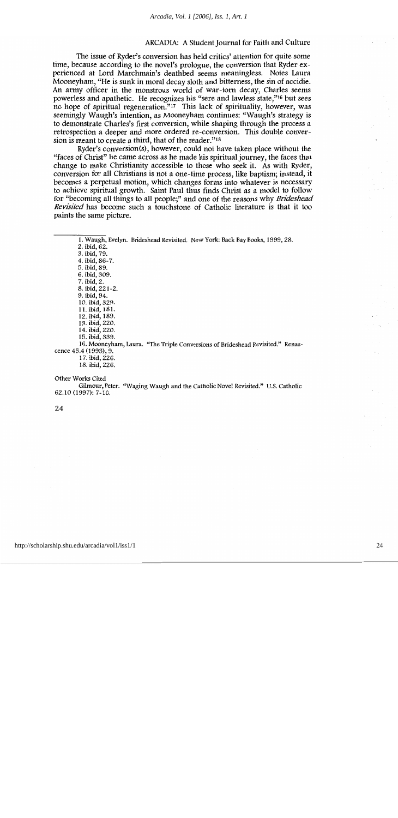The issue of Ryder's conversion has held critics' attention for quite some time, because according to the novel's prologue, the conversion that Ryder experienced at Lord Marchmain's deathbed seems meaningless. Notes Laura Mooneyham, "He is sunk in moral decay sloth and bitterness, the sin of accidie. An army officer in the monstrous world of war-torn decay, Charles seems powerless and apathetic. He recognizes his "sere and lawless state,"<sup>16</sup> but sees no hope of spiritual regeneration."<sup>17</sup> This lack of spirituality, however, was seemingly Waugh's intention, as Mooneyham continues: "Waugh's strategy is to demonstrate Charles's first conversion, while shaping through the process a retrospection a deeper and more ordered re-conversion. This double conversion is meant to create a third, that of the reader."<sup>18</sup>

Ryder's conversion(s), however, could not have taken place without the "faces of Christ" he came across as he made his spiritual journey, the faces that change to make Christianity accessible to those who seek it. As with Ryder, conversion for all Christians is not a one-time process, like baptism; instead, it becomes a perpetual motion, which changes forms into whatever is necessary to achieve spiritual growth. Saint Paul thus finds Christ as a model to follow for "becoming all things to all people;" and one of the reasons why Brideshead Revisited has become such a touchstone of Catholic literature is that it too paints the same picture.

1. Waugh, Evelyn. Brideshead Revisited. New York: Back Bay Books, 1999, 28. 2. ibid,  $62$ . 3. ibid. 79. 4. ibid, 86-7. 5. ibid, 89. 6. ibid, 309. 7. ibid, 2. 8. ibid, 221-2. 9. ibid, 94. 10. ibid, 329. 11. ibid, 181. 12. ibid, 189. 13. ibid, 220. 14. ibid, 220. 15. ibid, 339. 16. Mooneyham, Laura. "The Triple Conversions of Brideshead Revisited." Renascence 45.4 (1993), 9. 17. ibid, 226.

18. ibid, 226.

Other Works Cited

Gilmour, Peter. "Waging Waugh and the Catholic Novel Revisited." U.S. Catholic 62.10 (1997): 7-10.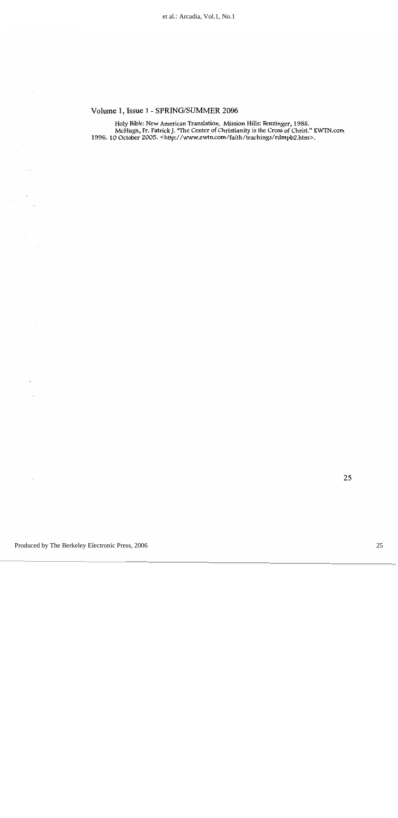Holy Bible: New American Translation. Mission Hills: Benzinger, 1988.<br>McHugh, Fr. Patrick J. "The Center of Christianity is the Cross of Christ." EWTN.com<br>1996. 10 October 2005. <http://www.ewtn.com/faith/teachings/rdmpb2.

 $\epsilon_{\rm{th}}$ 

 $\mathcal{L}$  $\sim 2$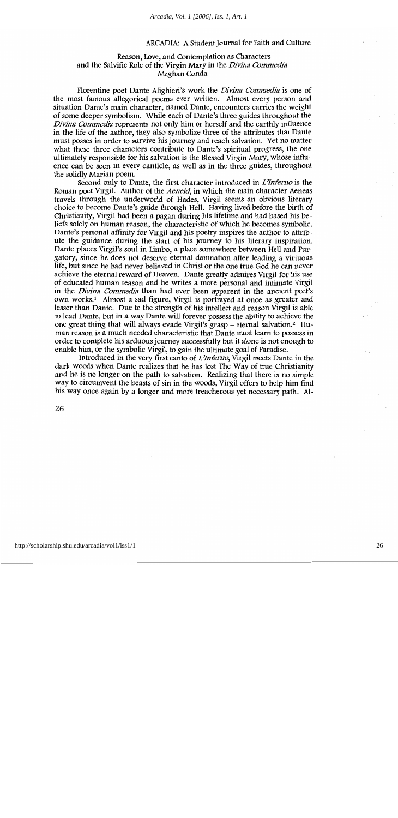#### Reason, Love, and Contemplation as Characters and the Salvific Role of the Virgin Mary in the Divina Commedia Meghan Conda

Florentine poet Dante Alighieri's work the *Divina Commedia* is one of the most famous allegorical poems ever written. Almost every person and situation Dante's main character, named Dante, encounters carries the weight of some deeper symbolism. While each of Dante's three guides throughout the Divina Commedia represents not only him or herself and the earthly influence in the life of the author, they also symbolize three of the attributes that Dante must posses in order to survive his journey and reach salvation. Yet no matter what these three characters contribute to Dante's spiritual progress, the one ultimately responsible for his salvation is the Blessed Virgin Mary, whose influence can be seen in every canticle, as well as in the three guides, throughout the solidly Marian poem.

Second only to Dante, the first character introduced in L'Inferno is the Roman poet Virgil. Author of the Aeneid, in which the main character Aeneas travels through the underworld of Hades, Virgil seems an obvious literary choice to become Dante's guide through Hell. Having lived before the birth of Christianity, Virgil had been a pagan during his lifetime and had based his beliefs solely on human reason, the characteristic of which he becomes symbolic. Dante's personal affinity for Virgil and his poetry inspires the author to attribute the guidance during the start of his journey to his literary inspiration. Dante places Virgil's soul in Limbo, a place somewhere between Hell and Purgatory, since he does not deserve eternal damnation after leading a virtuous life, but since he had never believed in Christ or the one true God he can never achieve the eternal reward of Heaven. Dante greatly admires Virgil for his use of educated human reason and he writes a more personal and intimate Virgil in the *Divina Commedia* than had ever been apparent in the ancient poet's own works.<sup>1</sup> Almost a sad figure, Virgil is portrayed at once as greater and lesser than Dante. Due to the strength of his intellect and reason Virgil is able to lead Dante, but in a way Dante will forever possess the ability to achieve the one great thing that will always evade Virgil's grasp – eternal salvation.<sup>2</sup> Human reason is a much needed characteristic that Dante must learn to possess in order to complete his arduous journey successfully but it alone is not enough to enable him, or the symbolic Virgil, to gain the ultimate goal of Paradise.

Introduced in the very first canto of *L'Inferno*, Virgil meets Dante in the dark woods when Dante realizes that he has lost The Way of true Christianity and he is no longer on the path to salvation. Realizing that there is no simple way to circumvent the beasts of sin in the woods, Virgil offers to help him find his way once again by a longer and more treacherous yet necessary path. Al-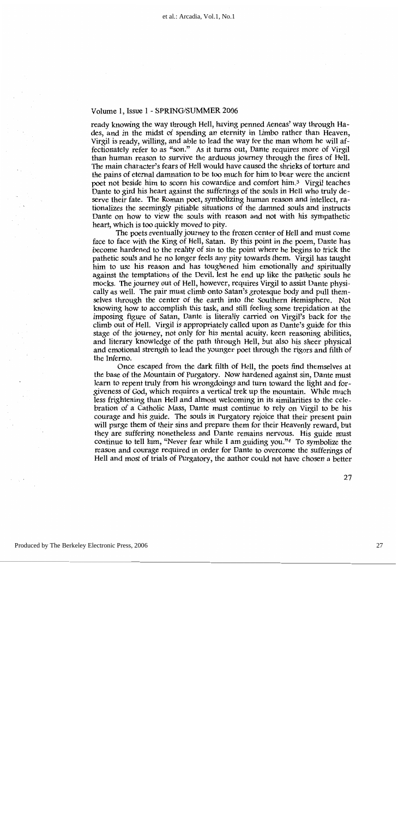ready knowing the way through Hell, having penned Aeneas' way through Hades, and in the midst of spending an eternity in Limbo rather than Heaven, Virgil is ready, willing, and able to lead the way for the man whom he will affectionately refer to as "son." As it turns out, Dante requires more of Virgil than human reason to survive the arduous journey through the fires of Hell. The main character's fears of Hell would have caused the shrieks of torture and the pains of eternal damnation to be too much for him to bear were the ancient poet not beside him to scorn his cowardice and comfort him.<sup>3</sup> Virgil teaches Dante to gird his heart against the sufferings of the souls in Hell who truly deserve their fate. The Roman poet, symbolizing human reason and intellect, rationalizes the seemingly pitiable situations of the damned souls and instructs Dante on how to view the souls with reason and not with his sympathetic heart, which is too quickly moved to pity.

The poets eventually journey to the frozen center of Hell and must come face to face with the King of Hell, Satan. By this point in the poem, Dante has become hardened to the reality of sin to the point where he begins to trick the pathetic souls and he no longer feels any pity towards them. Virgil has taught him to use his reason and has toughened him emotionally and spiritually against the temptations of the Devil, lest he end up like the pathetic souls he mocks. The journey out of Hell, however, requires Virgil to assist Dante physically as well. The pair must climb onto Satan's grotesque body and pull themselves through the center of the earth into the Southern Hemisphere. Not knowing how to accomplish this task, and still feeling some trepidation at the imposing figure of Satan, Dante is literally carried on Virgil's back for the climb out of Hell. Virgil is appropriately called upon as Dante's guide for this stage of the journey, not only for his mental acuity, keen reasoning abilities, and literary knowledge of the path through Hell, but also his sheer physical and emotional strength to lead the younger poet through the rigors and filth of the Inferno.

Once escaped from the dark filth of Hell, the poets find themselves at the base of the Mountain of Purgatory. Now hardened against sin, Dante must learn to repent truly from his wrongdoings and turn toward the light and forgiveness of God, which requires a vertical trek up the mountain. While much less frightening than Hell and almost welcoming in its similarities to the celebration of a Catholic Mass, Dante must continue to rely on Virgil to be his courage and his guide. The souls in Purgatory rejoice that their present pain will purge them of their sins and prepare them for their Heavenly reward, but they are suffering nonetheless and Dante remains nervous. His guide must continue to tell him, "Never fear while I am guiding you." $4$  To symbolize the reason and courage required in order for Dante to overcome the sufferings of Hell and most of trials of Purgatory, the author could not have chosen a better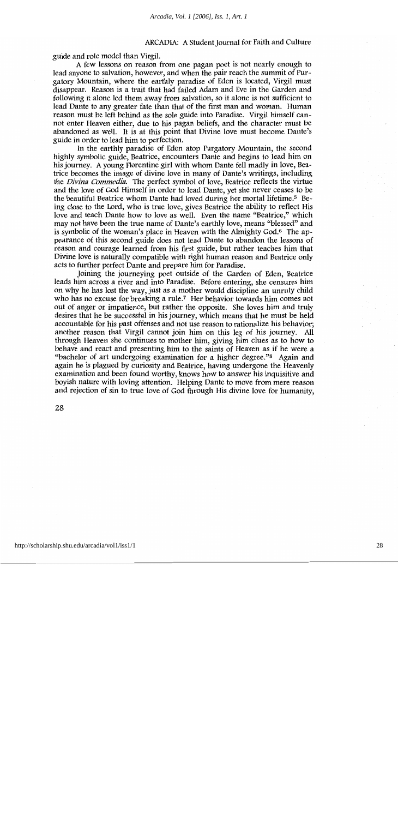guide and role model than Virgil.

A few lessons on reason from one pagan poet is not nearly enough to lead anyone to salvation, however, and when the pair reach the summit of Purgatory Mountain, where the earthly paradise of Eden is located, Virgil must disappear. Reason is a trait that had failed Adam and Eve in the Garden and following it alone led them away from salvation, so it alone is not sufficient to lead Dante to any greater fate than that of the first man and woman. Human reason must be left behind as the sole guide into Paradise. Virgil himself cannot enter Heaven either, due to his pagan beliefs, and the character must be abandoned as well. It is at this point that Divine love must become Dante's guide in order to lead him to perfection.

In the earthly paradise of Eden atop Purgatory Mountain, the second highly symbolic guide, Beatrice, encounters Dante and begins to lead him on his journey. A young Florentine girl with whom Dante fell madly in love, Beatrice becomes the image of divine love in many of Dante's writings, including the *Divina Commedia*. The perfect symbol of love, Beatrice reflects the virtue and the love of God Himself in order to lead Dante, yet she never ceases to be the beautiful Beatrice whom Dante had loved during her mortal lifetime.<sup>5</sup> Being close to the Lord, who is true love, gives Beatrice the ability to reflect His love and teach Dante how to love as well. Even the name "Beatrice," which may not have been the true name of Dante's earthly love, means "blessed" and is symbolic of the woman's place in Heaven with the Almighty God.<sup>6</sup> The appearance of this second guide does not lead Dante to abandon the lessons of reason and courage learned from his first guide, but rather teaches him that Divine love is naturally compatible with right human reason and Beatrice only acts to further perfect Dante and prepare him for Paradise.

Joining the journeying poet outside of the Garden of Eden, Beatrice leads him across a river and into Paradise. Before entering, she censures him on why he has lost the way, just as a mother would discipline an unruly child who has no excuse for breaking a rule.<sup>7</sup> Her behavior towards him comes not out of anger or impatience, but rather the opposite. She loves him and truly desires that he be successful in his journey, which means that he must be held accountable for his past offenses and not use reason to rationalize his behavior; another reason that Virgil cannot join him on this leg of his journey. All through Heaven she continues to mother him, giving him clues as to how to behave and react and presenting him to the saints of Heaven as if he were a "bachelor of art undergoing examination for a higher degree."<sup>8</sup> Again and again he is plagued by curiosity and Beatrice, having undergone the Heavenly examination and been found worthy, knows how to answer his inquisitive and boyish nature with loving attention. Helping Dante to move from mere reason and rejection of sin to true love of God through His divine love for humanity,

28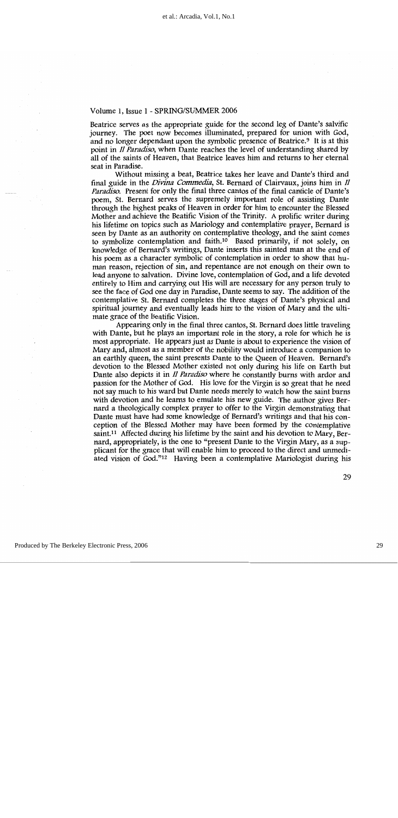Beatrice serves as the appropriate guide for the second leg of Dante's salvific journey. The poet now becomes illuminated, prepared for union with God, and no longer dependant upon the symbolic presence of Beatrice.<sup>9</sup> It is at this point in *Il Paradiso*, when Dante reaches the level of understanding shared by all of the saints of Heaven, that Beatrice leaves him and returns to her eternal seat in Paradise.

Without missing a beat, Beatrice takes her leave and Dante's third and final guide in the *Divina Commedia*, St. Bernard of Clairvaux, joins him in *II Paradiso.* Present for only the final three cantos of the final canticle of Dante's poem, St. Bernard serves the supremely important role of assisting Dante through the highest peaks of Heaven in order for him to encounter the Blessed Mother and achieve the Beatific Vision of the Trinity. A prolific writer during his lifetime on topics such as Mariology and contemplative prayer. Bernard is seen by Dante as an authority on contemplative theology, and the saint comes to symbolize contemplation and faith.<sup>10</sup> Based primarily, if not solely, on knowledge of Bernard's writings, Dante inserts this sainted man at the end of his poem as a character symbolic of contemplation in order to show that human reason, rejection of sin, and repentance are not enough on their own to lead anyone to salvation. Divine love, contemplation of God, and a life devoted entirely to Him and carrying out His will are necessary for any person truly to see the face of God one day in Paradise, Dante seems to say. The addition of the contemplative St. Bernard completes the three stages of Dante's physical and spiritual journey and eventually leads him to the vision of Mary and the ultimate grace of the Beatific Vision.

Appearing only in the final three cantos, St. Bernard does little traveling with Dante, but he plays an important role in the story, a role for which he is most appropriate. He appears just as Dante is about to experience the vision of Mary and, almost as a member of the nobility would introduce a companion to an earthly queen, the saint presents Dante to the Queen of Heaven. Bernard's devotion to the Blessed Mother existed not only during his life on Earth but Dante also depicts it in *Il Paradiso* where he constantly burns with ardor and passion for the Mother of God. His love for the Virgin is so great that he need not say much to his ward but Dante needs merely to watch how the saint burns with devotion and he learns to emulate his new guide. The author gives Bernard a theologically complex prayer to offer to the Virgin demonstrating that Dante must have had some knowledge of Bernard's writings and that his conception of the Blessed Mother may have been formed by the contemplative saint.<sup>11</sup> Affected during his lifetime by the saint and his devotion to Mary, Bernard, appropriately, is the one to "present Dante to the Virgin Mary, as a supplicant for the grace that will enable him to proceed to the direct and unmediated vision of God."<sup>12</sup> Having been a contemplative Mariologist during his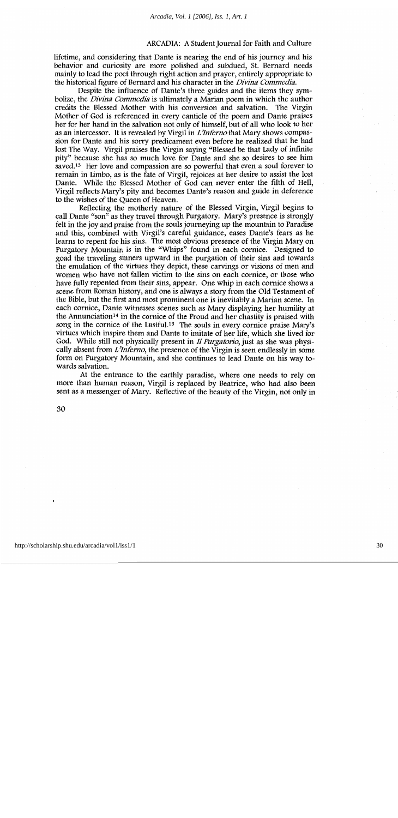lifetime, and considering that Dante is nearing the end of his journey and his behavior and curiosity are more polished and subdued, St. Bernard needs mainly to lead the poet through right action and prayer, entirely appropriate to the historical figure of Bernard and his character in the *Divina Commedia*.

Despite the influence of Dante's three guides and the items they symbolize, the *Divina Commedia* is ultimately a Marian poem in which the author credits the Blessed Mother with his conversion and salvation. The Virgin Mother of God is referenced in every canticle of the poem and Dante praises her for her hand in the salvation not only of himself, but of all who look to her as an intercessor. It is revealed by Virgil in *L'Inferno* that Mary shows compassion for Dante and his sorry predicament even before he realized that he had lost The Way. Virgil praises the Virgin saying "Blessed be that Lady of infinite pity" because she has so much love for Dante and she so desires to see him saved.<sup>13</sup> Her love and compassion are so powerful that even a soul forever to remain in Limbo, as is the fate of Virgil, rejoices at her desire to assist the lost Dante. While the Blessed Mother of God can never enter the filth of Hell, Virgil reflects Mary's pity and becomes Dante's reason and guide in deference to the wishes of the Queen of Heaven.

Reflecting the motherly nature of the Blessed Virgin, Virgil begins to call Dante "son" as they travel through Purgatory. Mary's presence is strongly felt in the joy and praise from the souls journeying up the mountain to Paradise and this, combined with Virgil's careful guidance, eases Dante's fears as he learns to repent for his sins. The most obvious presence of the Virgin Mary on Purgatory Mountain is in the "Whips" found in each cornice. Designed to goad the traveling sinners upward in the purgation of their sins and towards the emulation of the virtues they depict, these carvings or visions of men and women who have not fallen victim to the sins on each cornice, or those who have fully repented from their sins, appear. One whip in each cornice shows a scene from Roman history, and one is always a story from the Old Testament of the Bible, but the first and most prominent one is inevitably a Marian scene. In each cornice, Dante witnesses scenes such as Mary displaying her humility at the Annunciation<sup>14</sup> in the cornice of the Proud and her chastity is praised with song in the cornice of the Lustful.<sup>15</sup> The souls in every cornice praise Mary's virtues which inspire them and Dante to imitate of her life, which she lived for God. While still not physically present in *Il Purgatorio*, just as she was physically absent from L'Inferno, the presence of the Virgin is seen endlessly in some form on Purgatory Mountain, and she continues to lead Dante on his way towards salvation.

At the entrance to the earthly paradise, where one needs to rely on more than human reason, Virgil is replaced by Beatrice, who had also been sent as a messenger of Mary. Reflective of the beauty of the Virgin, not only in

30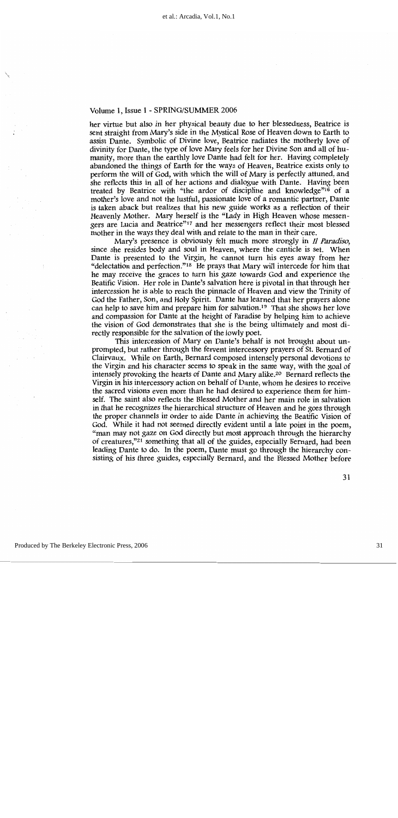her virtue but also in her physical beauty due to her blessedness, Beatrice is sent straight from Mary's side in the Mystical Rose of Heaven down to Earth to assist Dante. Symbolic of Divine love, Beatrice radiates the motherly love of divinity for Dante, the type of love Mary feels for her Divine Son and all of humanity, more than the earthly love Dante had felt for her. Having completely abandoned the things of Earth for the ways of Heaven, Beatrice exists only to perform the will of God, with which the will of Mary is perfectly attuned, and she reflects this in all of her actions and dialogue with Dante. Having been treated by Beatrice with "the ardor of discipline and knowledge"<sup>16</sup> of a mother's love and not the lustful, passionate love of a romantic partner, Dante is taken aback but realizes that his new guide works as a reflection of their Heavenly Mother. Mary herself is the "Lady in High Heaven whose messengers are Lucia and Beatrice"<sup>17</sup> and her messengers reflect their most blessed mother in the ways they deal with and relate to the man in their care.

Mary's presence is obviously felt much more strongly in Il Paradiso, since she resides body and soul in Heaven, where the canticle is set. When Dante is presented to the Virgin, he cannot turn his eyes away from her "delectation and perfection."<sup>18</sup> He prays that Mary will intercede for him that he may receive the graces to turn his gaze towards God and experience the Beatific Vision. Her role in Dante's salvation here is pivotal in that through her intercession he is able to reach the pinnacle of Heaven and view the Trinity of God the Father, Son, and Holy Spirit. Dante has learned that her prayers alone can help to save him and prepare him for salvation.<sup>19</sup> That she shows her love and compassion for Dante at the height of Paradise by helping him to achieve the vision of God demonstrates that she is the being ultimately and most directly responsible for the salvation of the lowly poet.

This intercession of Mary on Dante's behalf is not brought about unprompted, but rather through the fervent intercessory prayers of St. Bernard of Clairvaux. While on Earth, Bernard composed intensely personal devotions to the Virgin and his character seems to speak in the same way, with the goal of intensely provoking the hearts of Dante and Mary alike.<sup>20</sup> Bernard reflects the Virgin in his intercessory action on behalf of Dante, whom he desires to receive the sacred visions even more than he had desired to experience them for himself. The saint also reflects the Blessed Mother and her main role in salvation in that he recognizes the hierarchical structure of Heaven and he goes through the proper channels in order to aide Dante in achieving the Beatific Vision of God. While it had not seemed directly evident until a late point in the poem, "man may not gaze on God directly but most approach through the hierarchy of creatures,"<sup>21</sup> something that all of the guides, especially Bernard, had been leading Dante to do. In the poem, Dante must go through the hierarchy consisting of his three guides, especially Bernard, and the Blessed Mother before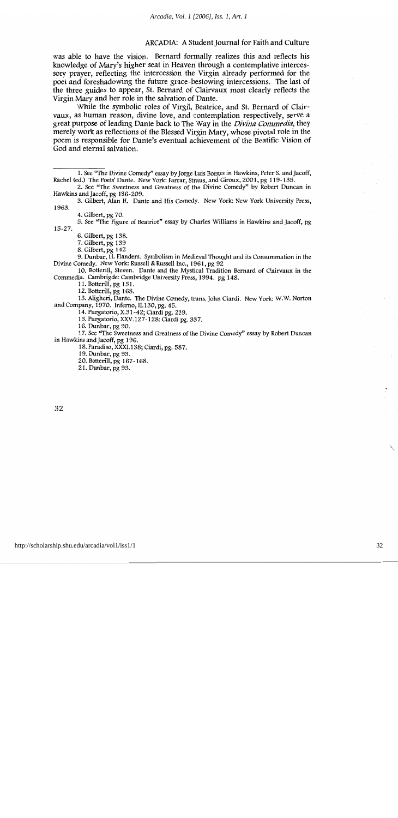was able to have the vision. Bernard formally realizes this and reflects his knowledge of Mary's higher seat in Heaven through a contemplative intercessory prayer, reflecting the intercession the Virgin already performed for the poet and foreshadowing the future grace-bestowing intercessions. The last of the three guides to appear, St. Bernard of Clairvaux most clearly reflects the Virgin Mary and her role in the salvation of Dante.

While the symbolic roles of Virgil, Beatrice, and St. Bernard of Clairvaux, as human reason, divine love, and contemplation respectively, serve a great purpose of leading Dante back to The Way in the *Divina Commedia*, they merely work as reflections of the Blessed Virgin Mary, whose pivotal role in the poem is responsible for Dante's eventual achievement of the Beatific Vision of God and eternal salvation.

5. See "The Figure of Beatrice" essay by Charles Williams in Hawkins and Jacoff, pg  $15 - 27$ .

6. Gilbert, pg 138.

7. Gilbert, pg 139

8. Gilbert, pg 142

9. Dunbar, H. Flanders. Symbolism in Medieval Thought and its Consummation in the Divine Comedy. New York: Russell & Russell Inc., 1961, pg 92

10. Botterill, Steven. Dante and the Mystical Tradition Bernard of Clairvaux in the Commedia. Cambrigde: Cambridge University Press, 1994. pg 148.

11. Botterill, pg 151.

12. Botterill, pg 168.

13. Aligheri, Dante. The Divine Comedy, trans. John Ciardi. New York: W.W. Norton and Company, 1970. Inferno, II.130, pg. 45.

14. Purgatorio, X.31-42; Ciardi pg. 239.

15. Purgatorio, XXV.127-128: Ciardi pg. 337.

16. Dunbar, pg 90.

17. See "The Sweetness and Greatness of the Divine Comedy" essay by Robert Duncan in Hawkins and Jacoff, pg 196.

18. Paradiso, XXXI.138; Ciardi, pg. 587.

19. Dunbar, pg 93.

20. Botterill, pg 167-168.

21. Dunbar, pg 93.

<sup>1.</sup> See "The Divine Comedy" essay by Jorge Luis Borges in Hawkins, Peter S. and Jacoff, Rachel (ed.) The Poets' Dante. New York: Farrar, Straus, and Giroux, 2001, pg 119-135.

<sup>2.</sup> See "The Sweetness and Greatness of the Divine Comedy" by Robert Duncan in Hawkins and Jacoff, pg 186-209.

<sup>3.</sup> Gilbert, Alan H. Dante and His Comedy. New York: New York University Press, 1963.

<sup>4.</sup> Gilbert, pg 70.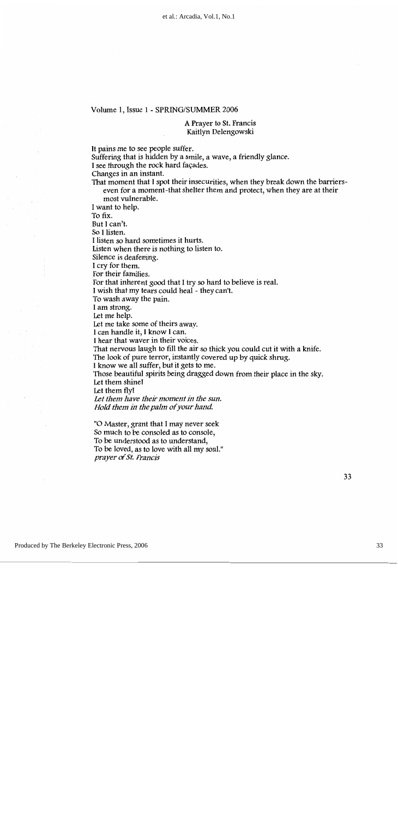#### A Prayer to St. Francis Kaitlyn Delengowski

It pains me to see people suffer. Suffering that is hidden by a smile, a wave, a friendly glance. I see through the rock hard façades. Changes in an instant. That moment that I spot their insecurities, when they break down the barrierseven for a moment-that shelter them and protect, when they are at their most vulnerable. I want to help. To fix. But I can't. So I listen. I listen so hard sometimes it hurts. Listen when there is nothing to listen to. Silence is deafening. I cry for them. For their families. For that inherent good that I try so hard to believe is real. I wish that my tears could heal - they can't. To wash away the pain. I am strong. Let me help. Let me take some of theirs away. I can handle it, I know I can. I hear that waver in their voices. That nervous laugh to fill the air so thick you could cut it with a knife. The look of pure terror, instantly covered up by quick shrug. I know we all suffer, but it gets to me. Those beautiful spirits being dragged down from their place in the sky. Let them shine! Let them fly! Let them have their moment in the sun. Hold them in the palm of your hand.

"O Master, grant that I may never seek So much to be consoled as to console, To be understood as to understand, To be loved, as to love with all my soul." prayer of St. Francis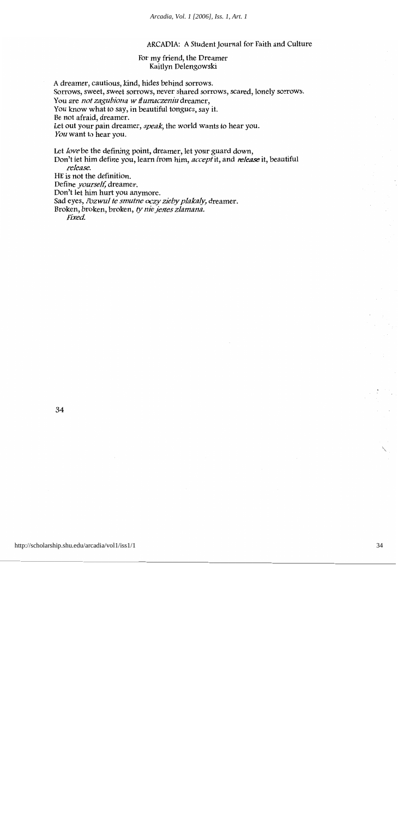#### For my friend, the Dreamer Kaitlyn Delengowski

A dreamer, cautious, kind, hides behind sorrows. Sorrows, sweet, sweet sorrows, never shared sorrows, scared, lonely sorrows. You are not zagubiona w tłumaczeniu dreamer, You know what to say, in beautiful tongues, say it. Be not afraid, dreamer. Let out your pain dreamer, *speak*, the world wants to hear you. You want to hear you.

Let love be the defining point, dreamer, let your guard down, Don't let him define you, learn from him, *accept* it, and *release* it, beautiful release. HE is not the definition. Define *yourself*, dreamer. Don't let him hurt you anymore. Sad eyes, Pozwul te smutne oczy zieby plakaly, dreamer. Broken, broken, broken, ty nie jestes zlamana. Fixed.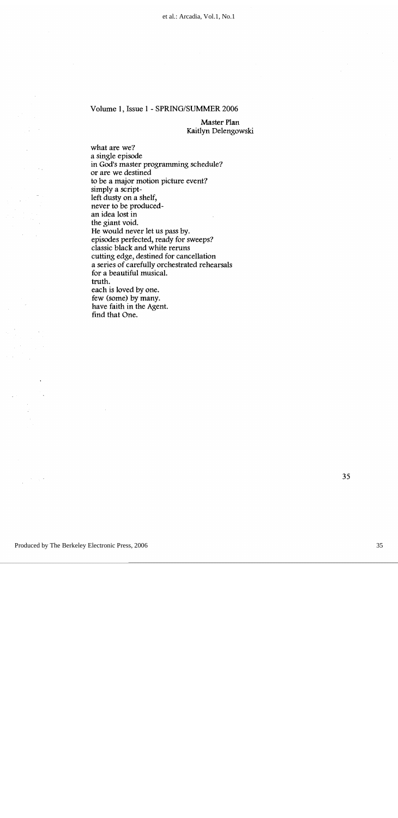Master Plan Kaitlyn Delengowski

what are we? a single episode in God's master programming schedule? or are we destined to be a major motion picture event? simply a scriptleft dusty on a shelf, never to be producedan idea lost in the giant void. He would never let us pass by. episodes perfected, ready for sweeps? classic black and white reruns cutting edge, destined for cancellation a series of carefully orchestrated rehearsals for a beautiful musical. truth. each is loved by one. few (some) by many. have faith in the Agent. find that One.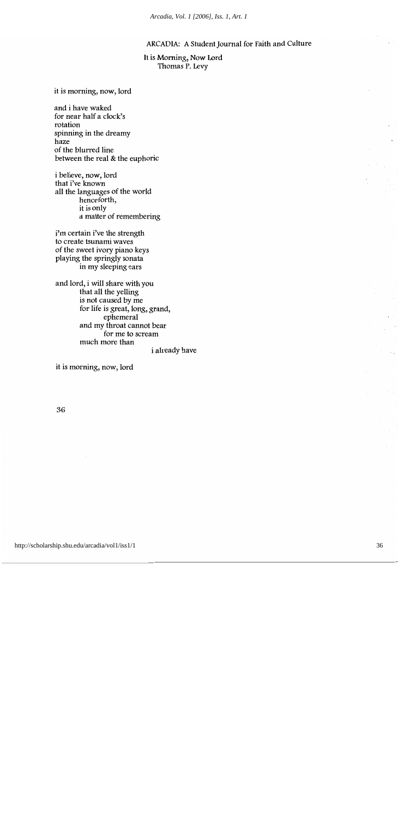It is Morning, Now Lord Thomas P. Levy

it is morning, now, lord

and i have waked for near half a clock's rotation spinning in the dreamy haze of the blurred line between the real & the euphoric

i believe, now, lord that i've known all the languages of the world henceforth, it is only a matter of remembering

i'm certain i've the strength to create tsunami waves of the sweet ivory piano keys playing the springly sonata in my sleeping ears

and lord, i will share with you that all the yelling is not caused by me for life is great, long, grand, ephemeral and my throat cannot bear for me to scream much more than i already have

it is morning, now, lord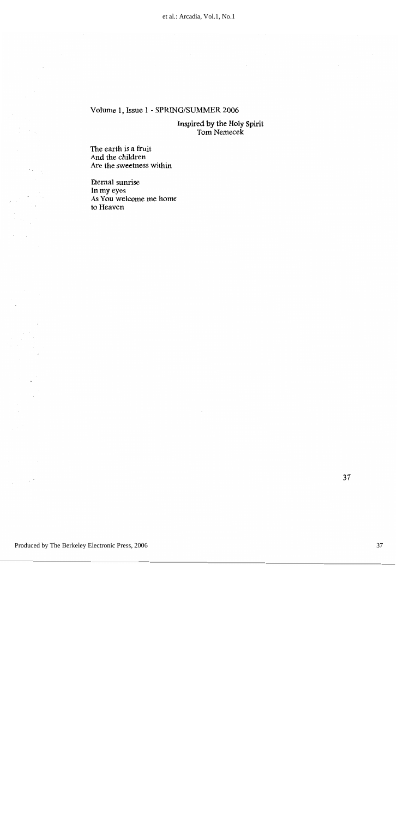Inspired by the Holy Spirit<br>Tom Nemecek

The earth is a fruit And the children Are the sweetness within

 $\bar{\mathcal{A}}$ 

 $\frac{1}{2}$  ,  $\frac{1}{2}$ 

 $\sigma$  and  $\sigma$ 

Eternal sunrise In my eyes As You welcome me home to Heaven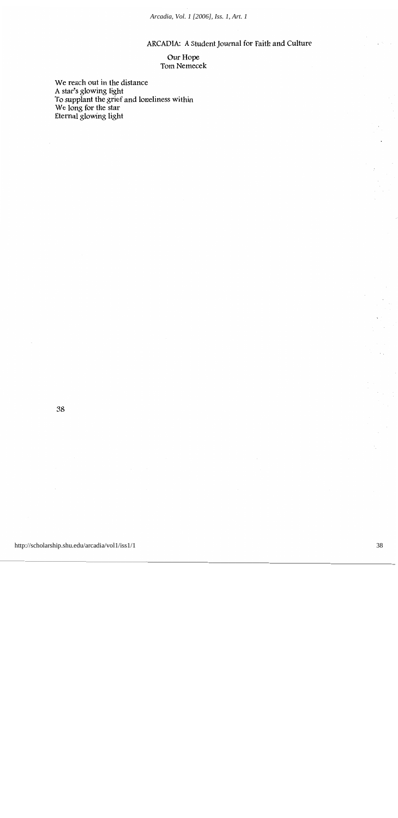*Arcadia, Vol. 1 [2006], Iss. 1, Art. 1*

ARCADIA: A Student Journal for Faith and Culture

Our Hope Tom Nemecek

We reach out in the distance A star's glowing light<br>To supplant the grief and loneliness within<br>We long for the star Eternal glowing light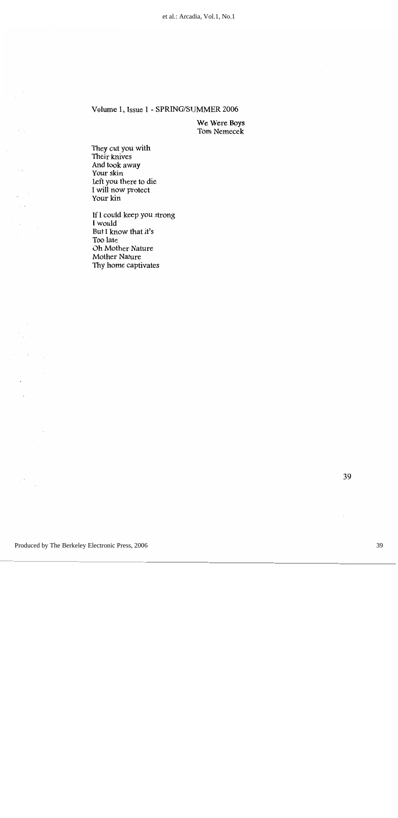We Were Boys Tom Nemecek

They cut you with Their knives And took away Your skin Left you there to die<br>I will now protect Your kin

If I could keep you strong I would But I know that it's Too late Oh Mother Nature Mother Nature Thy home captivates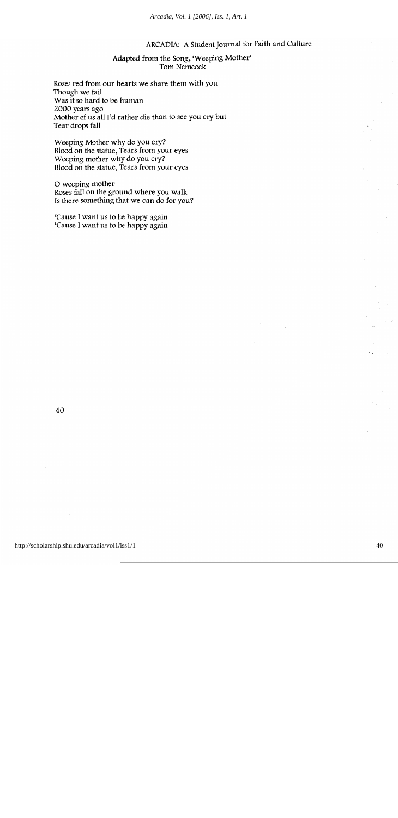#### Adapted from the Song, 'Weeping Mother' Tom Nemecek

Roses red from our hearts we share them with you Though we fail Was it so hard to be human 2000 years ago Mother of us all I'd rather die than to see you cry but Tear drops fall

Weeping Mother why do you cry? Blood on the statue, Tears from your eyes Weeping mother why do you cry? Blood on the statue, Tears from your eyes

O weeping mother Roses fall on the ground where you walk Is there something that we can do for you?

'Cause I want us to be happy again 'Cause I want us to be happy again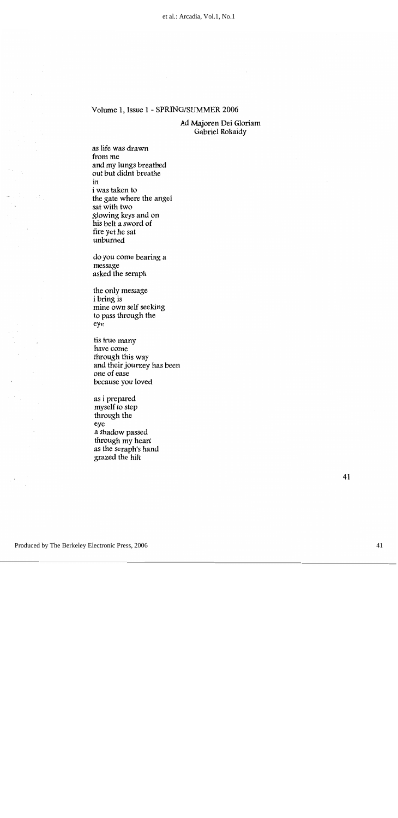Ad Majoren Dei Gloriam Gabriel Rohaidy

as life was drawn from me and my lungs breathed out but didnt breathe in i was taken to the gate where the angel sat with two glowing keys and on his belt a sword of fire yet he sat unburned

do you come bearing a message asked the seraph

the only message i bring is mine own self seeking to pass through the eye

tis true many have come through this way and their journey has been one of ease because you loved

as i prepared myself to step through the eye a shadow passed through my heart as the seraph's hand grazed the hilt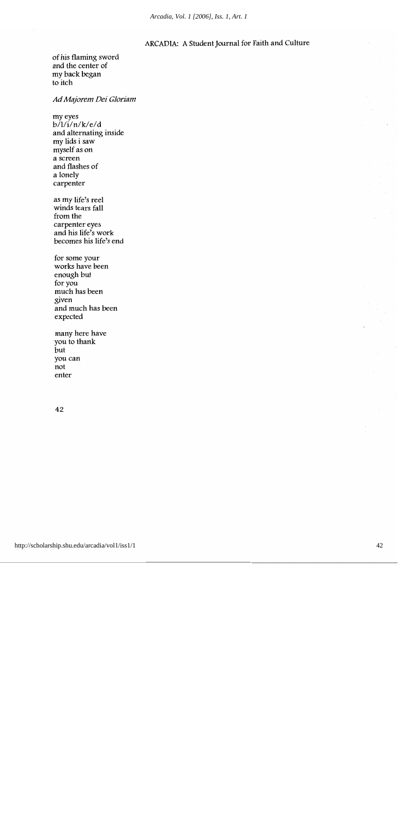of his flaming sword and the center of my back began to itch

Ad Majorem Dei Gloriam

my eyes  $b/l/i/n/k/e/d$ and alternating inside my lids i saw myself as on a screen and flashes of a lonely carpenter

as my life's reel winds tears fall from the carpenter eyes and his life's work becomes his life's end

for some your works have been enough but for you much has been given and much has been expected

many here have you to thank but you can not enter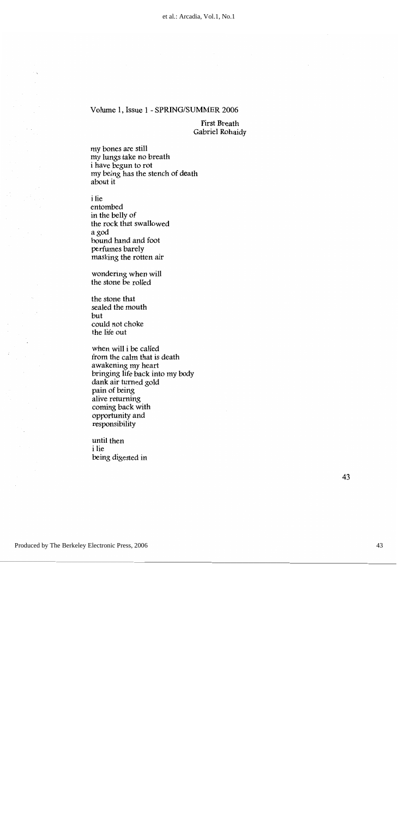**First Breath** Gabriel Rohaidy

my bones are still my lungs take no breath i have begun to rot my being has the stench of death about it

*i* lie

entombed in the belly of the rock that swallowed a god bound hand and foot perfumes barely masking the rotten air

wondering when will the stone be rolled

the stone that sealed the mouth but could not choke the life out

when will i be called from the calm that is death awakening my heart bringing life back into my body dank air turned gold pain of being alive returning coming back with opportunity and responsibility

until then i lie being digested in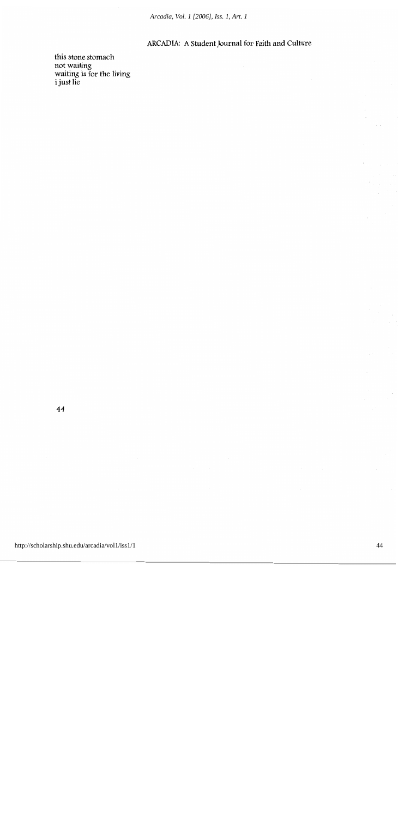*Arcadia, Vol. 1 [2006], Iss. 1, Art. 1*

#### ARCADIA: A Student Journal for Faith and Culture

this stone stomach not waiting<br>waiting is for the living<br>i just lie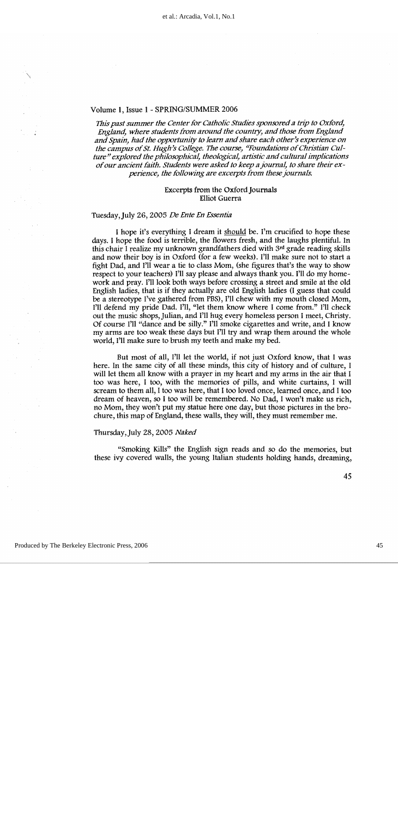This past summer the Center for Catholic Studies sponsored a trip to Oxford, England, where students from around the country, and those from England and Spain, had the opportunity to learn and share each other's experience on the campus of St. Hugh's College. The course, "Foundations of Christian Culture" explored the philosophical, theological, artistic and cultural implications of our ancient faith. Students were asked to keep a journal, to share their experience, the following are excerpts from these journals.

#### Excerpts from the Oxford Journals **Elliot Guerra**

#### Tuesday, July 26, 2005 De Ente En Essentia

I hope it's everything I dream it should be. I'm crucified to hope these days. I hope the food is terrible, the flowers fresh, and the laughs plentiful. In this chair I realize my unknown grandfathers died with 3rd grade reading skills and now their boy is in Oxford (for a few weeks). I'll make sure not to start a fight Dad, and I'll wear a tie to class Mom, (she figures that's the way to show respect to your teachers) I'll say please and always thank you. I'll do my homework and pray. I'll look both ways before crossing a street and smile at the old English ladies, that is if they actually are old English ladies (I guess that could be a stereotype I've gathered from PBS), I'll chew with my mouth closed Mom, I'll defend my pride Dad. I'll, "let them know where I come from." I'll check out the music shops, Julian, and I'll hug every homeless person I meet, Christy. Of course I'll "dance and be silly." I'll smoke cigarettes and write, and I know my arms are too weak these days but I'll try and wrap them around the whole world, I'll make sure to brush my teeth and make my bed.

But most of all, I'll let the world, if not just Oxford know, that I was here. In the same city of all these minds, this city of history and of culture, I will let them all know with a prayer in my heart and my arms in the air that I too was here, I too, with the memories of pills, and white curtains, I will scream to them all, I too was here, that I too loved once, learned once, and I too dream of heaven, so I too will be remembered. No Dad, I won't make us rich, no Mom, they won't put my statue here one day, but those pictures in the brochure, this map of England, these walls, they will, they must remember me.

#### Thursday, July 28, 2005 Naked

"Smoking Kills" the English sign reads and so do the memories, but these ivy covered walls, the young Italian students holding hands, dreaming,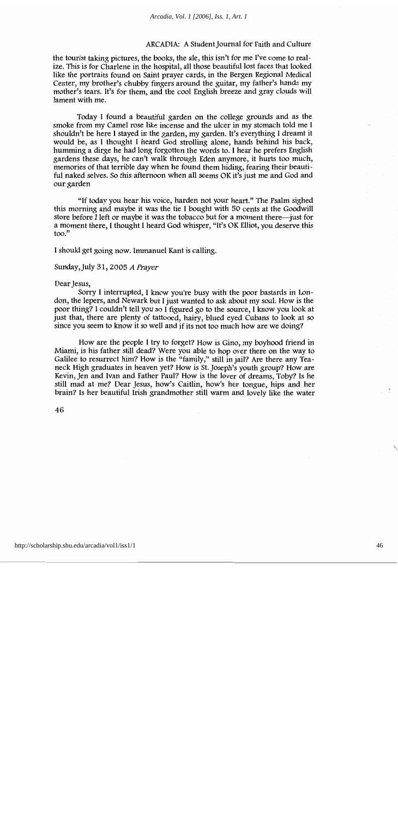the tourist taking pictures, the books, the ale, this isn't for me I've come to realize. This is for Charlene in the hospital, all those beautiful lost faces that looked like the portraits found on Saint prayer cards, in the Bergen Regional Medical Center, my brother's chubby fingers around the guitar, my father's hands my mother's tears. It's for them, and the cool English breeze and gray clouds will lament with me.

Today I found a beautiful garden on the college grounds and as the smoke from my Camel rose like incense and the ulcer in my stomach told me I shouldn't be here I stayed in the garden, my garden. It's everything I dreamt it would be, as I thought I heard God strolling alone, hands behind his back, humming a dirge he had long forgotten the words to. I hear he prefers English gardens these days, he can't walk through Eden anymore, it hurts too much, memories of that terrible day when he found them hiding, fearing their beautiful naked selves. So this afternoon when all seems OK it's just me and God and our garden

"If today you hear his voice, harden not your heart." The Psalm sighed this morning and maybe it was the tie I bought with 50 cents at the Goodwill store before I left or maybe it was the tobacco but for a moment there—just for a moment there, I thought I heard God whisper, "It's OK Elliot, you deserve this  $\text{too.}^{\prime\prime}$ 

I should get going now. Immanuel Kant is calling.

Sunday, July 31, 2005 A Prayer

#### Dear Jesus,

Sorry I interrupted, I know you're busy with the poor bastards in London, the lepers, and Newark but I just wanted to ask about my soul. How is the poor thing? I couldn't tell you so I figured go to the source. I know you look at just that, there are plenty of tattooed, hairy, blued eyed Cubans to look at so since you seem to know it so well and if its not too much how are we doing?

How are the people I try to forget? How is Gino, my boyhood friend in Miami, is his father still dead? Were you able to hop over there on the way to Galilee to resurrect him? How is the "family," still in jail? Are there any Teaneck High graduates in heaven yet? How is St. Joseph's youth group? How are Kevin, Jen and Ivan and Father Paul? How is the lover of dreams, Toby? Is he still mad at me? Dear Jesus, how's Caitlin, how's her tongue, hips and her brain? Is her beautiful Irish grandmother still warm and lovely like the water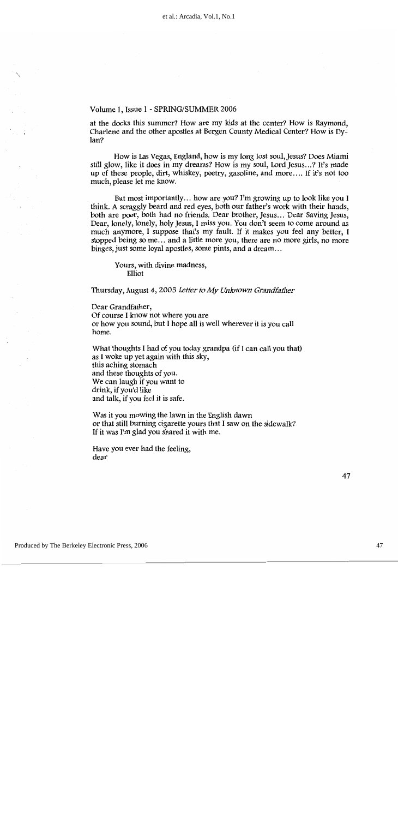at the docks this summer? How are my kids at the center? How is Raymond, Charlene and the other apostles at Bergen County Medical Center? How is Dy $lan?$ 

How is Las Vegas, England, how is my long lost soul, Jesus? Does Miami still glow, like it does in my dreams? How is my soul, Lord Jesus...? It's made up of these people, dirt, whiskey, poetry, gasoline, and more.... If it's not too much, please let me know.

But most importantly... how are you? I'm growing up to look like you I think. A scraggly beard and red eyes, both our father's work with their hands, both are poor, both had no friends. Dear brother, Jesus... Dear Saving Jesus, Dear, lonely, lonely, holy Jesus, I miss you. You don't seem to come around as much anymore, I suppose that's my fault. If it makes you feel any better, I stopped being so me... and a little more you, there are no more girls, no more binges, just some loyal apostles, some pints, and a dream...

Yours, with divine madness, Elliot

Thursday, August 4, 2005 Letter to My Unknown Grandfather

Dear Grandfather, Of course I know not where you are or how you sound, but I hope all is well wherever it is you call home.

What thoughts I had of you today grandpa (if I can call you that) as I woke up yet again with this sky, this aching stomach and these thoughts of you. We can laugh if you want to drink, if you'd like and talk, if you feel it is safe.

Was it you mowing the lawn in the English dawn or that still burning cigarette yours that I saw on the sidewalk? If it was I'm glad you shared it with me.

Have you ever had the feeling, dear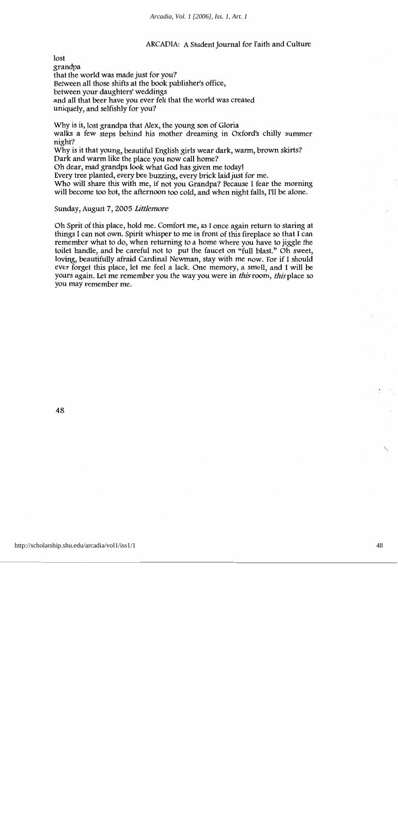$lost$ grandpa that the world was made just for you? Between all those shifts at the book publisher's office, between your daughters' weddings and all that beer have you ever felt that the world was created uniquely, and selfishly for you?

Why is it, lost grandpa that Alex, the young son of Gloria walks a few steps behind his mother dreaming in Oxford's chilly summer night?

Why is it that young, beautiful English girls wear dark, warm, brown skirts? Dark and warm like the place you now call home?

Oh dear, mad grandpa look what God has given me today!

Every tree planted, every bee buzzing, every brick laid just for me.

Who will share this with me, if not you Grandpa? Because I fear the morning will become too hot, the afternoon too cold, and when night falls, I'll be alone.

#### Sunday, August 7, 2005 Littlemore

Oh Sprit of this place, hold me. Comfort me, as I once again return to staring at things I can not own. Spirit whisper to me in front of this fireplace so that I can remember what to do, when returning to a home where you have to jiggle the toilet handle, and be careful not to put the faucet on "full blast." Oh sweet, loving, beautifully afraid Cardinal Newman, stay with me now. For if I should ever forget this place, let me feel a lack. One memory, a smell, and I will be yours again. Let me remember you the way you were in *this* room, *this* place so you may remember me.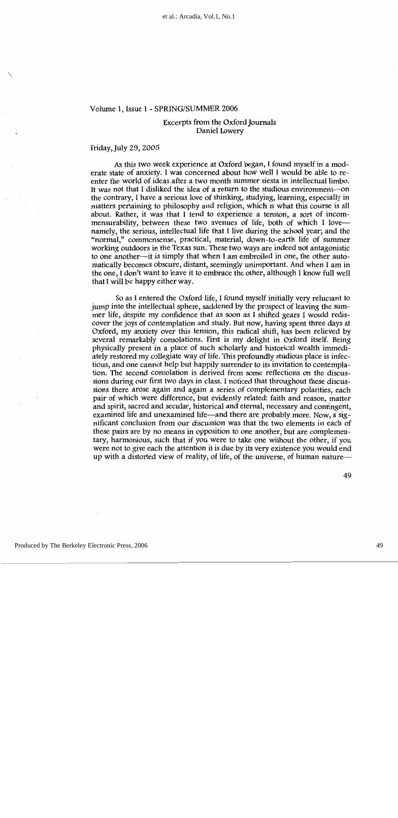#### Excerpts from the Oxford Journals Daniel Lowery

#### Friday, July 29, 2005

As this two week experience at Oxford began, I found myself in a moderate state of anxiety. I was concerned about how well I would be able to reenter the world of ideas after a two month summer siesta in intellectual limbo. It was not that I disliked the idea of a return to the studious environment—on the contrary, I have a serious love of thinking, studying, learning, especially in matters pertaining to philosophy and religion, which is what this course is all about. Rather, it was that I tend to experience a tension, a sort of incommensurability, between these two avenues of life, both of which I lovenamely, the serious, intellectual life that I live during the school year; and the "normal," commonsense, practical, material, down-to-earth life of summer working outdoors in the Texas sun. These two ways are indeed not antagonistic to one another—it is simply that when I am embroiled in one, the other automatically becomes obscure, distant, seemingly unimportant. And when I am in the one, I don't want to leave it to embrace the other, although I know full well that I will be happy either way.

So as I entered the Oxford life, I found myself initially very reluctant to jump into the intellectual sphere, saddened by the prospect of leaving the summer life, despite my confidence that as soon as I shifted gears I would rediscover the joys of contemplation and study. But now, having spent three days at Oxford, my anxiety over this tension, this radical shift, has been relieved by several remarkably consolations. First is my delight in Oxford itself. Being physically present in a place of such scholarly and historical wealth immediately restored my collegiate way of life. This profoundly studious place is infectious, and one cannot help but happily surrender to its invitation to contemplation. The second consolation is derived from some reflections on the discussions during our first two days in class. I noticed that throughout these discussions there arose again and again a series of complementary polarities, each pair of which were difference, but evidently related: faith and reason, matter and spirit, sacred and secular, historical and eternal, necessary and contingent, examined life and unexamined life—and there are probably more. Now, a significant conclusion from our discussion was that the two elements in each of these pairs are by no means in opposition to one another, but are complementary, harmonious, such that if you were to take one without the other, if you were not to give each the attention it is due by its very existence you would end up with a distorted view of reality, of life, of the universe, of human nature-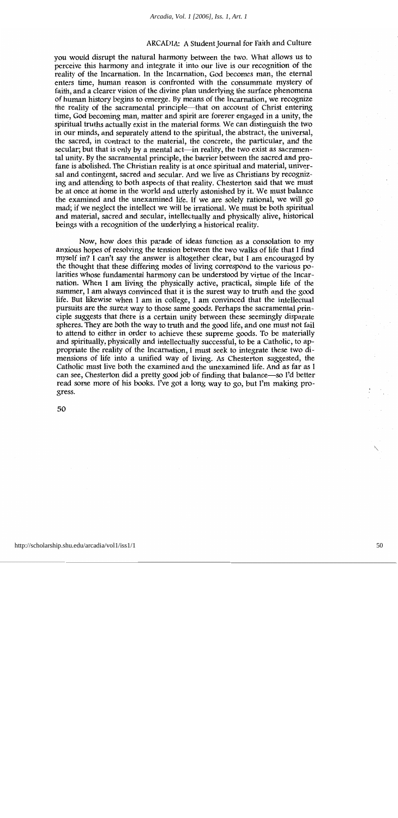you would disrupt the natural harmony between the two. What allows us to perceive this harmony and integrate it into our live is our recognition of the reality of the Incarnation. In the Incarnation, God becomes man, the eternal enters time, human reason is confronted with the consummate mystery of faith, and a clearer vision of the divine plan underlying the surface phenomena of human history begins to emerge. By means of the Incarnation, we recognize the reality of the sacramental principle—that on account of Christ entering time, God becoming man, matter and spirit are forever engaged in a unity, the spiritual truths actually exist in the material forms. We can distinguish the two in our minds, and separately attend to the spiritual, the abstract, the universal, the sacred, in contract to the material, the concrete, the particular, and the secular; but that is only by a mental act—in reality, the two exist as sacramental unity. By the sacramental principle, the barrier between the sacred and profane is abolished. The Christian reality is at once spiritual and material, universal and contingent, sacred and secular. And we live as Christians by recognizing and attending to both aspects of that reality. Chesterton said that we must be at once at home in the world and utterly astonished by it. We must balance the examined and the unexamined life. If we are solely rational, we will go mad; if we neglect the intellect we will be irrational. We must be both spiritual and material, sacred and secular, intellectually and physically alive, historical beings with a recognition of the underlying a historical reality.

Now, how does this parade of ideas function as a consolation to my anxious hopes of resolving the tension between the two walks of life that I find myself in? I can't say the answer is altogether clear, but I am encouraged by the thought that these differing modes of living correspond to the various polarities whose fundamental harmony can be understood by virtue of the Incarnation. When I am living the physically active, practical, simple life of the summer, I am always convinced that it is the surest way to truth and the good life. But likewise when I am in college, I am convinced that the intellectual pursuits are the surest way to those same goods. Perhaps the sacramental principle suggests that there is a certain unity between these seemingly disparate spheres. They are both the way to truth and the good life, and one must not fail to attend to either in order to achieve these supreme goods. To be materially and spiritually, physically and intellectually successful, to be a Catholic, to appropriate the reality of the Incarnation, I must seek to integrate these two dimensions of life into a unified way of living. As Chesterton suggested, the Catholic must live both the examined and the unexamined life. And as far as I can see, Chesterton did a pretty good job of finding that balance—so I'd better read some more of his books. I've got a long way to go, but I'm making progress.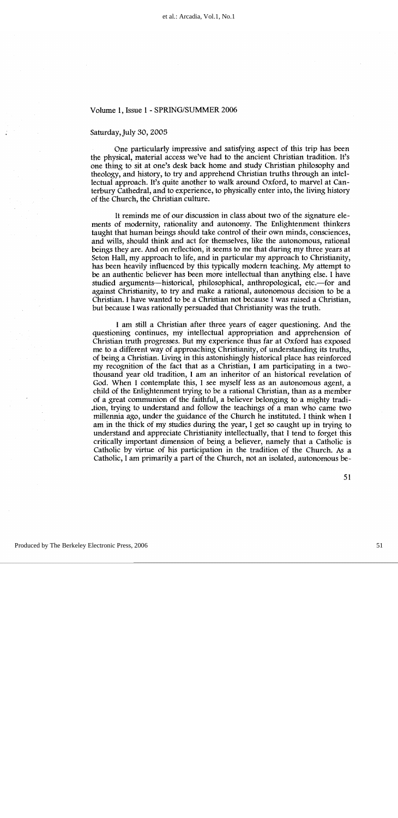#### Saturday, July 30, 2005

One particularly impressive and satisfying aspect of this trip has been the physical, material access we've had to the ancient Christian tradition. It's one thing to sit at one's desk back home and study Christian philosophy and theology, and history, to try and apprehend Christian truths through an intellectual approach. It's quite another to walk around Oxford, to marvel at Canterbury Cathedral, and to experience, to physically enter into, the living history of the Church, the Christian culture.

It reminds me of our discussion in class about two of the signature elements of modernity, rationality and autonomy. The Enlightenment thinkers taught that human beings should take control of their own minds, consciences, and wills, should think and act for themselves, like the autonomous, rational beings they are. And on reflection, it seems to me that during my three years at Seton Hall, my approach to life, and in particular my approach to Christianity, has been heavily influenced by this typically modern teaching. My attempt to be an authentic believer has been more intellectual than anything else. I have studied arguments—historical, philosophical, anthropological, etc.—for and against Christianity, to try and make a rational, autonomous decision to be a Christian. I have wanted to be a Christian not because I was raised a Christian, but because I was rationally persuaded that Christianity was the truth.

I am still a Christian after three years of eager questioning. And the questioning continues, my intellectual appropriation and apprehension of Christian truth progresses. But my experience thus far at Oxford has exposed me to a different way of approaching Christianity, of understanding its truths, of being a Christian. Living in this astonishingly historical place has reinforced my recognition of the fact that as a Christian, I am participating in a twothousand year old tradition, I am an inheritor of an historical revelation of God. When I contemplate this, I see myself less as an autonomous agent, a child of the Enlightenment trying to be a rational Christian, than as a member of a great communion of the faithful, a believer belonging to a mighty tradition, trying to understand and follow the teachings of a man who came two millennia ago, under the guidance of the Church he instituted. I think when I am in the thick of my studies during the year, I get so caught up in trying to understand and appreciate Christianity intellectually, that I tend to forget this critically important dimension of being a believer, namely that a Catholic is Catholic by virtue of his participation in the tradition of the Church. As a Catholic, I am primarily a part of the Church, not an isolated, autonomous be-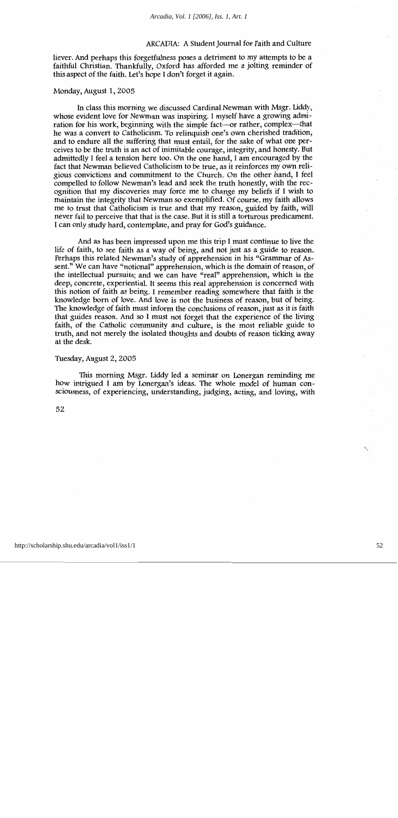liever. And perhaps this forgetfulness poses a detriment to my attempts to be a faithful Christian. Thankfully, Oxford has afforded me a jolting reminder of this aspect of the faith. Let's hope I don't forget it again.

#### Monday, August 1, 2005

In class this morning we discussed Cardinal Newman with Msgr. Liddy, whose evident love for Newman was inspiring. I myself have a growing admiration for his work, beginning with the simple fact—or rather, complex—that he was a convert to Catholicism. To relinguish one's own cherished tradition, and to endure all the suffering that must entail, for the sake of what one perceives to be the truth is an act of inimitable courage, integrity, and honesty. But admittedly I feel a tension here too. On the one hand, I am encouraged by the fact that Newman believed Catholicism to be true, as it reinforces my own religious convictions and commitment to the Church. On the other hand, I feel compelled to follow Newman's lead and seek the truth honestly, with the recognition that my discoveries may force me to change my beliefs if I wish to maintain the integrity that Newman so exemplified. Of course, my faith allows me to trust that Catholicism is true and that my reason, guided by faith, will never fail to perceive that that is the case. But it is still a torturous predicament. I can only study hard, contemplate, and pray for God's guidance.

And as has been impressed upon me this trip I must continue to live the life of faith, to see faith as a way of being, and not just as a guide to reason. Perhaps this related Newman's study of apprehension in his "Grammar of Assent." We can have "notional" apprehension, which is the domain of reason, of the intellectual pursuits; and we can have "real" apprehension, which is the deep, concrete, experiential. It seems this real apprehension is concerned with this notion of faith as being. I remember reading somewhere that faith is the knowledge born of love. And love is not the business of reason, but of being. The knowledge of faith must inform the conclusions of reason, just as it is faith that guides reason. And so I must not forget that the experience of the living faith, of the Catholic community and culture, is the most reliable guide to truth, and not merely the isolated thoughts and doubts of reason ticking away at the desk.

#### Tuesday, August 2, 2005

This morning Msgr. Liddy led a seminar on Lonergan reminding me how intrigued I am by Lonergan's ideas. The whole model of human consciousness, of experiencing, understanding, judging, acting, and loving, with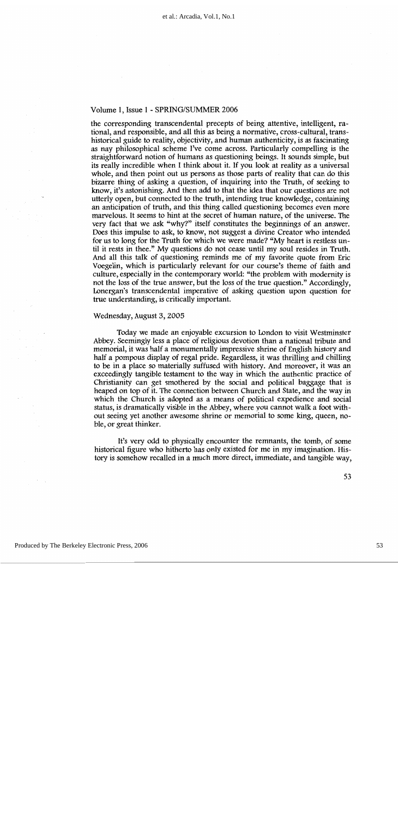the corresponding transcendental precepts of being attentive, intelligent, rational, and responsible, and all this as being a normative, cross-cultural, transhistorical guide to reality, objectivity, and human authenticity, is as fascinating as nay philosophical scheme I've come across. Particularly compelling is the straightforward notion of humans as questioning beings. It sounds simple, but its really incredible when I think about it. If you look at reality as a universal whole, and then point out us persons as those parts of reality that can do this bizarre thing of asking a question, of inquiring into the Truth, of seeking to know, it's astonishing. And then add to that the idea that our questions are not utterly open, but connected to the truth, intending true knowledge, containing an anticipation of truth, and this thing called questioning becomes even more marvelous. It seems to hint at the secret of human nature, of the universe. The very fact that we ask "why?" itself constitutes the beginnings of an answer. Does this impulse to ask, to know, not suggest a divine Creator who intended for us to long for the Truth for which we were made? "My heart is restless until it rests in thee." My questions do not cease until my soul resides in Truth. And all this talk of questioning reminds me of my favorite quote from Eric Voegelin, which is particularly relevant for our course's theme of faith and culture, especially in the contemporary world: "the problem with modernity is not the loss of the true answer, but the loss of the true question." Accordingly, Lonergan's transcendental imperative of asking question upon question for true understanding, is critically important.

#### Wednesday, August 3, 2005

Today we made an enjoyable excursion to London to visit Westminster Abbey. Seemingly less a place of religious devotion than a national tribute and memorial, it was half a monumentally impressive shrine of English history and half a pompous display of regal pride. Regardless, it was thrilling and chilling to be in a place so materially suffused with history. And moreover, it was an exceedingly tangible testament to the way in which the authentic practice of Christianity can get smothered by the social and political baggage that is heaped on top of it. The connection between Church and State, and the way in which the Church is adopted as a means of political expedience and social status, is dramatically visible in the Abbey, where you cannot walk a foot without seeing yet another awesome shrine or memorial to some king, queen, noble, or great thinker.

It's very odd to physically encounter the remnants, the tomb, of some historical figure who hitherto has only existed for me in my imagination. History is somehow recalled in a much more direct, immediate, and tangible way.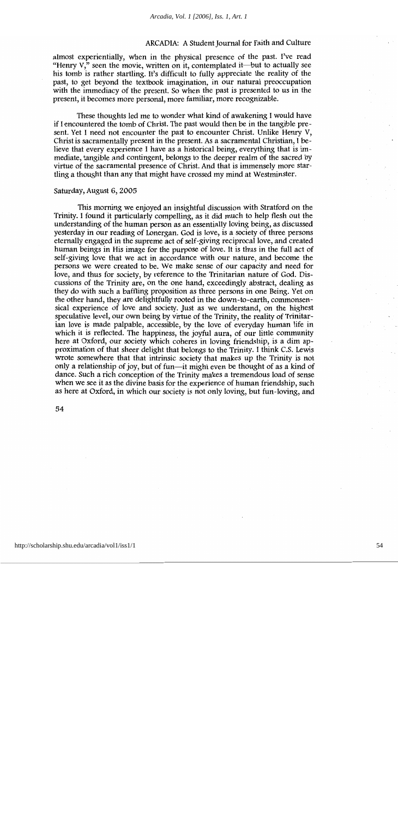almost experientially, when in the physical presence of the past. I've read "Henry  $V,$ " seen the movie, written on it, contemplated it—but to actually see his tomb is rather startling. It's difficult to fully appreciate the reality of the past, to get beyond the textbook imagination, in our natural preoccupation with the immediacy of the present. So when the past is presented to us in the present, it becomes more personal, more familiar, more recognizable.

These thoughts led me to wonder what kind of awakening I would have if I encountered the tomb of Christ. The past would then be in the tangible present. Yet I need not encounter the past to encounter Christ. Unlike Henry V, Christ is sacramentally present in the present. As a sacramental Christian, I believe that every experience I have as a historical being, everything that is immediate, tangible and contingent, belongs to the deeper realm of the sacred by virtue of the sacramental presence of Christ. And that is immensely more startling a thought than any that might have crossed my mind at Westminster.

#### Saturday, August 6, 2005

This morning we enjoyed an insightful discussion with Stratford on the Trinity. I found it particularly compelling, as it did much to help flesh out the understanding of the human person as an essentially loving being, as discussed vesterday in our reading of Lonergan. God is love, is a society of three persons eternally engaged in the supreme act of self-giving reciprocal love, and created human beings in His image for the purpose of love. It is thus in the full act of self-giving love that we act in accordance with our nature, and become the persons we were created to be. We make sense of our capacity and need for love, and thus for society, by reference to the Trinitarian nature of God. Discussions of the Trinity are, on the one hand, exceedingly abstract, dealing as they do with such a baffling proposition as three persons in one Being. Yet on the other hand, they are delightfully rooted in the down-to-earth, commonsensical experience of love and society. Just as we understand, on the highest speculative level, our own being by virtue of the Trinity, the reality of Trinitarian love is made palpable, accessible, by the love of everyday human life in which it is reflected. The happiness, the joyful aura, of our little community here at Oxford, our society which coheres in loving friendship, is a dim approximation of that sheer delight that belongs to the Trinity. I think C.S. Lewis wrote somewhere that that intrinsic society that makes up the Trinity is not only a relationship of joy, but of fun—it might even be thought of as a kind of dance. Such a rich conception of the Trinity makes a tremendous load of sense when we see it as the divine basis for the experience of human friendship, such as here at Oxford, in which our society is not only loving, but fun-loving, and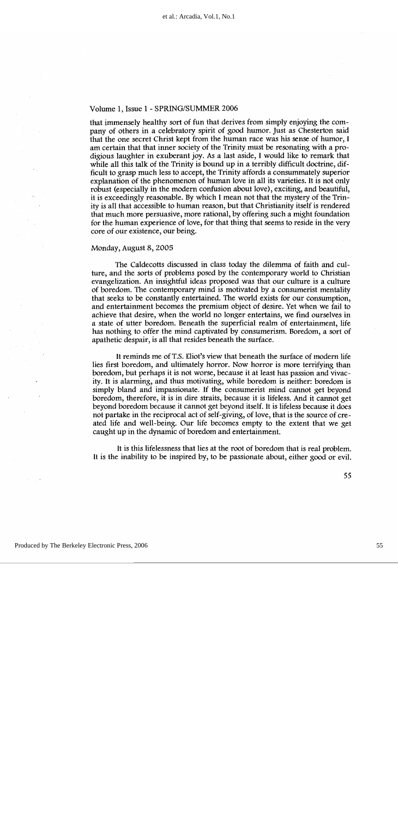that immensely healthy sort of fun that derives from simply enjoying the company of others in a celebratory spirit of good humor. Just as Chesterton said that the one secret Christ kept from the human race was his sense of humor, I am certain that that inner society of the Trinity must be resonating with a prodigious laughter in exuberant joy. As a last aside, I would like to remark that while all this talk of the Trinity is bound up in a terribly difficult doctrine, difficult to grasp much less to accept, the Trinity affords a consummately superior explanation of the phenomenon of human love in all its varieties. It is not only robust (especially in the modern confusion about love), exciting, and beautiful, it is exceedingly reasonable. By which I mean not that the mystery of the Trinity is all that accessible to human reason, but that Christianity itself is rendered that much more persuasive, more rational, by offering such a might foundation for the human experience of love, for that thing that seems to reside in the very core of our existence, our being.

#### Monday, August 8, 2005

The Caldecotts discussed in class today the dilemma of faith and culture, and the sorts of problems posed by the contemporary world to Christian evangelization. An insightful ideas proposed was that our culture is a culture of boredom. The contemporary mind is motivated by a consumerist mentality that seeks to be constantly entertained. The world exists for our consumption, and entertainment becomes the premium object of desire. Yet when we fail to achieve that desire, when the world no longer entertains, we find ourselves in a state of utter boredom. Beneath the superficial realm of entertainment, life has nothing to offer the mind captivated by consumerism. Boredom, a sort of apathetic despair, is all that resides beneath the surface.

It reminds me of T.S. Eliot's view that beneath the surface of modern life lies first boredom, and ultimately horror. Now horror is more terrifying than boredom, but perhaps it is not worse, because it at least has passion and vivacity. It is alarming, and thus motivating, while boredom is neither: boredom is simply bland and impassionate. If the consumerist mind cannot get beyond boredom, therefore, it is in dire straits, because it is lifeless. And it cannot get beyond boredom because it cannot get beyond itself. It is lifeless because it does not partake in the reciprocal act of self-giving, of love, that is the source of created life and well-being. Our life becomes empty to the extent that we get caught up in the dynamic of boredom and entertainment.

It is this lifelessness that lies at the root of boredom that is real problem. It is the inability to be inspired by, to be passionate about, either good or evil.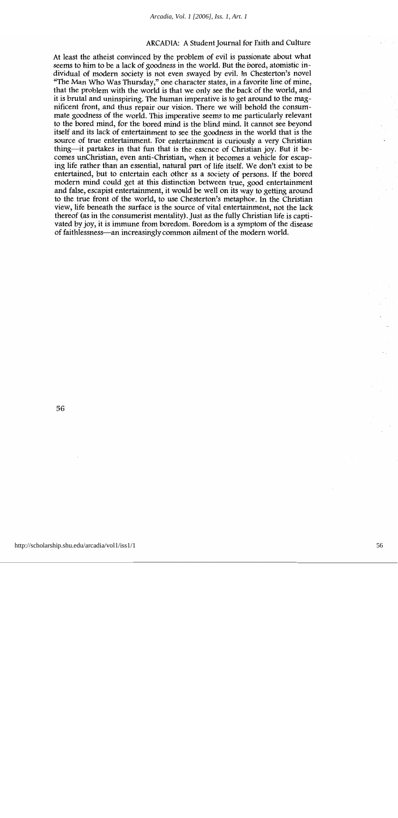At least the atheist convinced by the problem of evil is passionate about what seems to him to be a lack of goodness in the world. But the bored, atomistic individual of modern society is not even swayed by evil. In Chesterton's novel "The Man Who Was Thursday," one character states, in a favorite line of mine, that the problem with the world is that we only see the back of the world, and it is brutal and uninspiring. The human imperative is to get around to the magnificent front, and thus repair our vision. There we will behold the consummate goodness of the world. This imperative seems to me particularly relevant to the bored mind, for the bored mind is the blind mind. It cannot see beyond itself and its lack of entertainment to see the goodness in the world that is the source of true entertainment. For entertainment is curiously a very Christian thing—it partakes in that fun that is the essence of Christian joy. But it becomes unChristian, even anti-Christian, when it becomes a vehicle for escaping life rather than an essential, natural part of life itself. We don't exist to be entertained, but to entertain each other as a society of persons. If the bored modern mind could get at this distinction between true, good entertainment and false, escapist entertainment, it would be well on its way to getting around to the true front of the world, to use Chesterton's metaphor. In the Christian view, life beneath the surface is the source of vital entertainment, not the lack thereof (as in the consumerist mentality). Just as the fully Christian life is captivated by joy, it is immune from boredom. Boredom is a symptom of the disease of faithlessness-an increasingly common ailment of the modern world.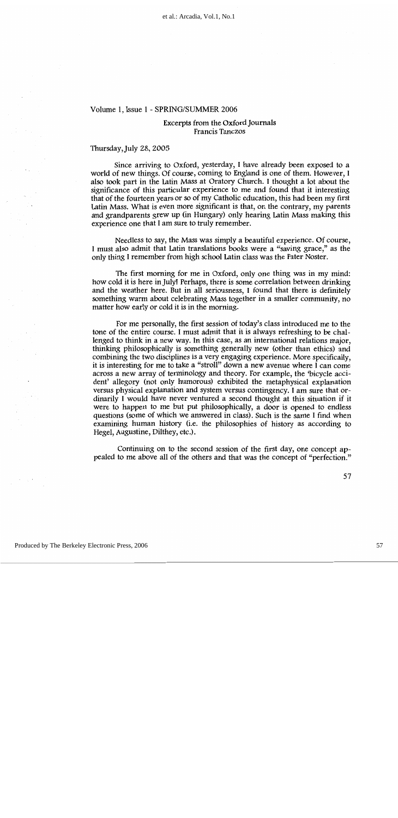#### Excerpts from the Oxford Journals Francis Tanczos

#### Thursday, July 28, 2005

Since arriving to Oxford, yesterday, I have already been exposed to a world of new things. Of course, coming to England is one of them. However, I also took part in the Latin Mass at Oratory Church. I thought a lot about the significance of this particular experience to me and found that it interesting that of the fourteen years or so of my Catholic education, this had been my first Latin Mass. What is even more significant is that, on the contrary, my parents and grandparents grew up (in Hungary) only hearing Latin Mass making this experience one that I am sure to truly remember.

Needless to say, the Mass was simply a beautiful experience. Of course, I must also admit that Latin translations books were a "saving grace," as the only thing I remember from high school Latin class was the Pater Noster.

The first morning for me in Oxford, only one thing was in my mind: how cold it is here in July! Perhaps, there is some correlation between drinking and the weather here. But in all seriousness, I found that there is definitely something warm about celebrating Mass together in a smaller community, no matter how early or cold it is in the morning.

For me personally, the first session of today's class introduced me to the tone of the entire course. I must admit that it is always refreshing to be challenged to think in a new way. In this case, as an international relations major, thinking philosophically is something generally new (other than ethics) and combining the two disciplines is a very engaging experience. More specifically, it is interesting for me to take a "stroll" down a new avenue where I can come across a new array of terminology and theory. For example, the 'bicycle accident' allegory (not only humorous) exhibited the metaphysical explanation versus physical explanation and system versus contingency. I am sure that ordinarily I would have never ventured a second thought at this situation if it were to happen to me but put philosophically, a door is opened to endless questions (some of which we answered in class). Such is the same I find when examining human history (i.e. the philosophies of history as according to Hegel, Augustine, Dilthey, etc.).

Continuing on to the second session of the first day, one concept appealed to me above all of the others and that was the concept of "perfection."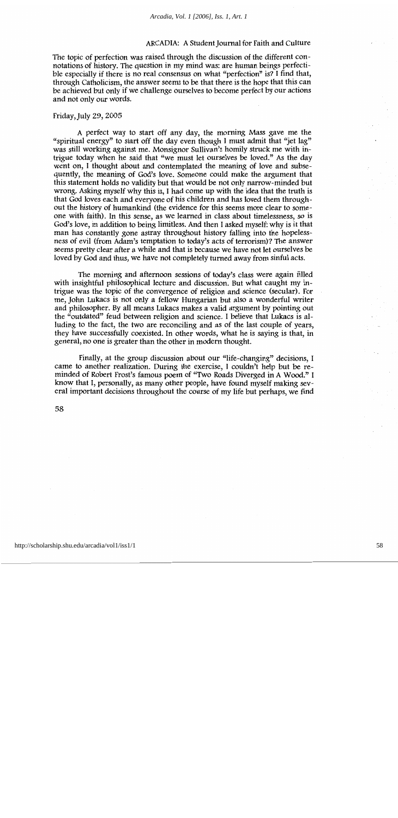The topic of perfection was raised through the discussion of the different connotations of history. The question in my mind was: are human beings perfectible especially if there is no real consensus on what "perfection" is? I find that, through Catholicism, the answer seems to be that there is the hope that this can be achieved but only if we challenge ourselves to become perfect by our actions and not only our words.

#### Friday, July 29, 2005

A perfect way to start off any day, the morning Mass gave me the "spiritual energy" to start off the day even though I must admit that "jet lag" was still working against me. Monsignor Sullivan's homily struck me with intrigue today when he said that "we must let ourselves be loved." As the day went on, I thought about and contemplated the meaning of love and subsequently, the meaning of God's love. Someone could make the argument that this statement holds no validity but that would be not only narrow-minded but wrong. Asking myself why this is, I had come up with the idea that the truth is that God loves each and everyone of his children and has loved them throughout the history of humankind (the evidence for this seems more clear to someone with faith). In this sense, as we learned in class about timelessness, so is God's love, in addition to being limitless. And then I asked myself: why is it that man has constantly gone astray throughout history falling into the hopelessness of evil (from Adam's temptation to today's acts of terrorism)? The answer seems pretty clear after a while and that is because we have not let ourselves be loved by God and thus, we have not completely turned away from sinful acts.

The morning and afternoon sessions of today's class were again filled with insightful philosophical lecture and discussion. But what caught my intrigue was the topic of the convergence of religion and science (secular). For me, John Lukacs is not only a fellow Hungarian but also a wonderful writer and philosopher. By all means Lukacs makes a valid argument by pointing out the "outdated" feud between religion and science. I believe that Lukacs is alluding to the fact, the two are reconciling and as of the last couple of years, they have successfully coexisted. In other words, what he is saying is that, in general, no one is greater than the other in modern thought.

Finally, at the group discussion about our "life-changing" decisions, I came to another realization. During the exercise, I couldn't help but be reminded of Robert Frost's famous poem of "Two Roads Diverged in A Wood." I know that I, personally, as many other people, have found myself making several important decisions throughout the course of my life but perhaps, we find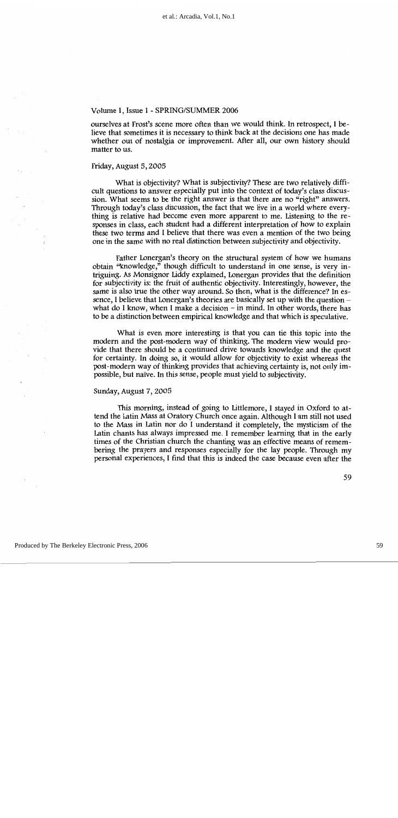ourselves at Frost's scene more often than we would think. In retrospect, I believe that sometimes it is necessary to think back at the decisions one has made whether out of nostalgia or improvement. After all, our own history should matter to us.

#### Friday, August 5, 2005

What is objectivity? What is subjectivity? These are two relatively difficult questions to answer especially put into the context of today's class discussion. What seems to be the right answer is that there are no "right" answers. Through today's class discussion, the fact that we live in a world where everything is relative had become even more apparent to me. Listening to the responses in class, each student had a different interpretation of how to explain these two terms and I believe that there was even a mention of the two being one in the same with no real distinction between subjectivity and objectivity.

Father Lonergan's theory on the structural system of how we humans obtain "knowledge," though difficult to understand in one sense, is very intriguing. As Monsignor Liddy explained, Lonergan provides that the definition for subjectivity is: the fruit of authentic objectivity. Interestingly, however, the same is also true the other way around. So then, what is the difference? In essence, I believe that Lonergan's theories are basically set up with the question  $$ what do I know, when I make a decision  $-$  in mind. In other words, there has to be a distinction between empirical knowledge and that which is speculative.

What is even more interesting is that you can tie this topic into the modern and the post-modern way of thinking. The modern view would provide that there should be a continued drive towards knowledge and the quest for certainty. In doing so, it would allow for objectivity to exist whereas the post-modern way of thinking provides that achieving certainty is, not only impossible, but naïve. In this sense, people must yield to subjectivity.

#### Sunday, August 7, 2005

This morning, instead of going to Littlemore, I stayed in Oxford to attend the Latin Mass at Oratory Church once again. Although I am still not used to the Mass in Latin nor do I understand it completely, the mysticism of the Latin chants has always impressed me. I remember learning that in the early times of the Christian church the chanting was an effective means of remembering the prayers and responses especially for the lay people. Through my personal experiences, I find that this is indeed the case because even after the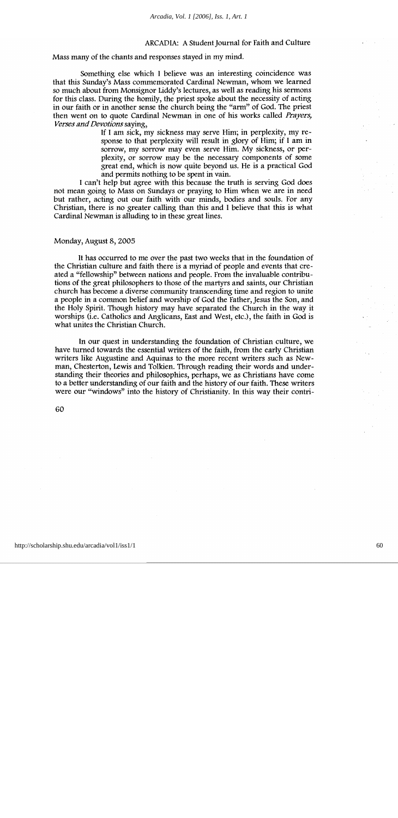Mass many of the chants and responses stayed in my mind.

Something else which I believe was an interesting coincidence was that this Sunday's Mass commemorated Cardinal Newman, whom we learned so much about from Monsignor Liddy's lectures, as well as reading his sermons for this class. During the homily, the priest spoke about the necessity of acting in our faith or in another sense the church being the "arm" of God. The priest then went on to quote Cardinal Newman in one of his works called *Prayers*, Verses and Devotions saying,

> If I am sick, my sickness may serve Him; in perplexity, my response to that perplexity will result in glory of Him; if I am in sorrow, my sorrow may even serve Him. My sickness, or perplexity, or sorrow may be the necessary components of some great end, which is now quite beyond us. He is a practical God and permits nothing to be spent in vain.

I can't help but agree with this because the truth is serving God does not mean going to Mass on Sundays or praying to Him when we are in need but rather, acting out our faith with our minds, bodies and souls. For any Christian, there is no greater calling than this and I believe that this is what Cardinal Newman is alluding to in these great lines.

#### Monday, August 8, 2005

It has occurred to me over the past two weeks that in the foundation of the Christian culture and faith there is a myriad of people and events that created a "fellowship" between nations and people. From the invaluable contributions of the great philosophers to those of the martyrs and saints, our Christian church has become a diverse community transcending time and region to unite a people in a common belief and worship of God the Father, Jesus the Son, and the Holy Spirit. Though history may have separated the Church in the way it worships (i.e. Catholics and Anglicans, East and West, etc.), the faith in God is what unites the Christian Church.

In our quest in understanding the foundation of Christian culture, we have turned towards the essential writers of the faith, from the early Christian writers like Augustine and Aquinas to the more recent writers such as Newman, Chesterton, Lewis and Tolkien. Through reading their words and understanding their theories and philosophies, perhaps, we as Christians have come to a better understanding of our faith and the history of our faith. These writers were our "windows" into the history of Christianity. In this way their contri-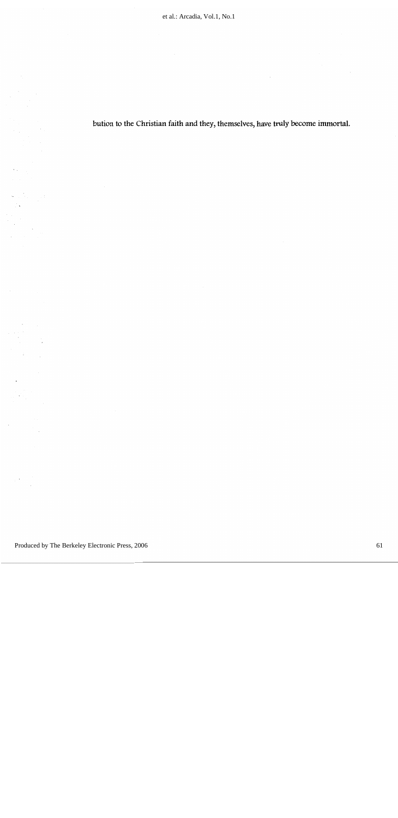bution to the Christian faith and they, themselves, have truly become immortal.

Ì,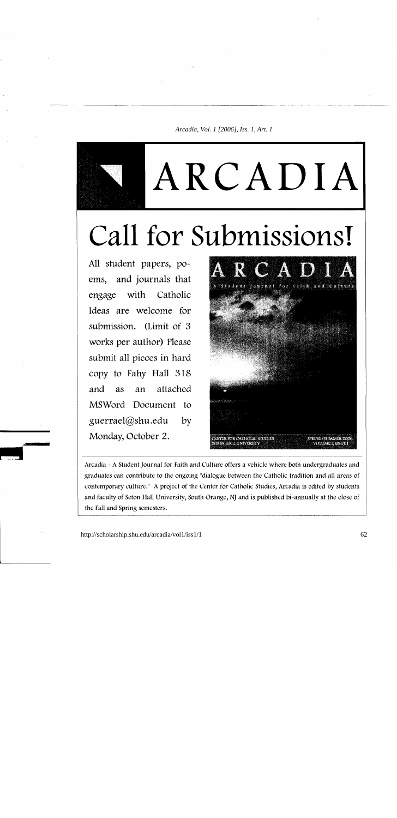ARCADIA

# Call for Submissions!

All student papers, poems, and journals that engage with Catholic Ideas are welcome for submission. (Limit of 3) works per author) Please submit all pieces in hard copy to Fahy Hall 318 attached and as an MSWord Document to guerrael@shu.edu by Monday, October 2.



Arcadia - A Student Journal for Faith and Culture offers a vehicle where both undergraduates and graduates can contribute to the ongoing "dialogue between the Catholic tradition and all areas of contemporary culture." A project of the Center for Catholic Studies, Arcadia is edited by students and faculty of Seton Hall University, South Orange, NJ and is published bi-annually at the close of the Fall and Spring semesters.